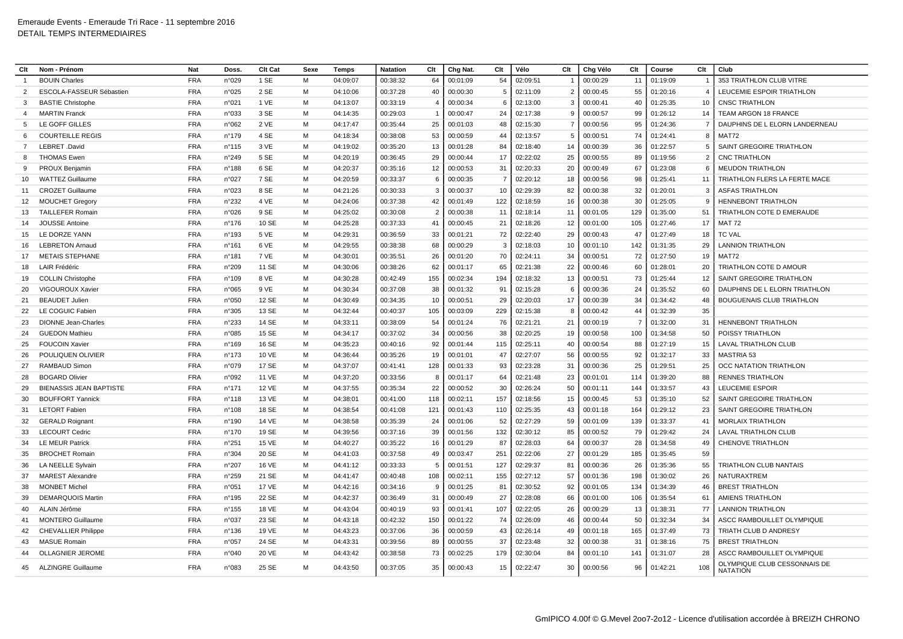| Clt            | Nom - Prénom                   | <b>Nat</b> | Doss.           | <b>Clt Cat</b> | Sexe | Temps    | <b>Natation</b> | Clt            | Chg Nat. | Clt | Vélo     | Clt | Chg Vélo | Clt | Course   | Clt            | Club                                            |
|----------------|--------------------------------|------------|-----------------|----------------|------|----------|-----------------|----------------|----------|-----|----------|-----|----------|-----|----------|----------------|-------------------------------------------------|
|                | <b>BOUIN Charles</b>           | <b>FRA</b> | n°029           | 1 SE           | M    | 04:09:07 | 00:38:32        | 64             | 00:01:09 | 54  | 02:09:51 |     | 00:00:29 | 11  | 01:19:09 |                | 353 TRIATHLON CLUB VITRE                        |
| $\mathcal{P}$  | ESCOLA-FASSEUR Sébastier       | <b>FRA</b> | n°025           | 2 SE           | м    | 04:10:06 | 00:37:28        | 40             | 00:00:30 | 5   | 02:11:09 |     | 00:00:45 | 55  | 01:20:16 | $\overline{4}$ | LEUCEMIE ESPOIR TRIATHLON                       |
| 3              | <b>BASTIE Christophe</b>       | <b>FRA</b> | n°021           | 1 VE           | M    | 04:13:07 | 00:33:19        | $\overline{4}$ | 00:00:34 | 6   | 02:13:00 | -3  | 00:00:41 | 40  | 01:25:35 | 10             | <b>CNSC TRIATHLON</b>                           |
| 4              | <b>MARTIN Franck</b>           | <b>FRA</b> | n°033           | 3 SE           | M    | 04:14:35 | 00:29:03        | $\overline{1}$ | 00:00:47 | 24  | 02:17:38 | 9   | 00:00:57 | 99  | 01:26:12 | 14             | TEAM ARGON 18 FRANCE                            |
| -5             | LE GOFF GILLES                 | <b>FRA</b> | n°062           | 2 VE           | M    | 04:17:47 | 00:35:44        | 25             | 00:01:03 | 48  | 02:15:30 | 7   | 00:00:56 | 95  | 01:24:36 | $\overline{7}$ | DAUPHINS DE L ELORN LANDERNEAU                  |
| -6             | <b>COURTEILLE REGIS</b>        | <b>FRA</b> | $n^{\circ}$ 179 | 4 SE           | M    | 04:18:34 | 00:38:08        | 53             | 00:00:59 | 44  | 02:13:57 | -5  | 00:00:51 | 74  | 01:24:41 | 8              | <b>MAT72</b>                                    |
| $\overline{7}$ | LEBRET .David                  | <b>FRA</b> | $n^{\circ}$ 115 | 3 VE           | м    | 04:19:02 | 00:35:20        | 13             | 00:01:28 | 84  | 02:18:40 | 14  | 00:00:39 | 36  | 01:22:57 | $\overline{5}$ | SAINT GREGOIRE TRIATHLON                        |
| 8              | <b>THOMAS Ewen</b>             | <b>FRA</b> | n°249           | 5 SE           | M    | 04:20:19 | 00:36:45        | 29             | 00:00:44 | 17  | 02:22:02 | 25  | 00:00:55 | 89  | 01:19:56 | -2             | <b>CNC TRIATHLON</b>                            |
| $\mathbf{q}$   | PROUX Benjamin                 | <b>FRA</b> | n°188           | 6 SE           | M    | 04:20:37 | 00:35:16        | 12             | 00:00:53 | 31  | 02:20:33 | 20  | 00:00:49 | 67  | 01:23:08 | -6             | <b>MEUDON TRIATHLON</b>                         |
| 10             | <b>WATTEZ Guillaume</b>        | <b>FRA</b> | n°027           | 7 SE           | M    | 04:20:59 | 00:33:37        | 6              | 00:00:35 | - 7 | 02:20:12 | 18  | 00:00:56 | 98  | 01:25:41 | 11             | TRIATHLON FLERS LA FERTE MACE                   |
| 11             | <b>CROZET Guillaume</b>        | <b>FRA</b> | n°023           | 8 SE           | M    | 04:21:26 | 00:30:33        | 3              | 00:00:37 | 10  | 02:29:39 | 82  | 00:00:38 | 32  | 01:20:01 | $\overline{3}$ | <b>ASFAS TRIATHLON</b>                          |
| 12             | <b>MOUCHET Gregory</b>         | <b>FRA</b> | n°232           | 4 VE           | M    | 04:24:06 | 00:37:38        | 42             | 00:01:49 | 122 | 02:18:59 | 16  | 00:00:38 | 30  | 01:25:05 | 9              | <b>HENNEBONT TRIATHLON</b>                      |
| 13             | <b>TAILLEFER Romain</b>        | <b>FRA</b> | n°026           | 9 SE           | M    | 04:25:02 | 00:30:08        | $\overline{2}$ | 00:00:38 | 11  | 02:18:14 | 11  | 00:01:05 | 129 | 01:35:00 | 51             | TRIATHLON COTE D EMERAUDE                       |
| 14             | <b>JOUSSE Antoine</b>          | <b>FRA</b> | $n^{\circ}$ 176 | 10 SE          | M    | 04:25:28 | 00:37:33        | 41             | 00:00:45 | 21  | 02:18:26 | 12  | 00:01:00 | 105 | 01:27:46 | 17             | <b>MAT 72</b>                                   |
| 15             | LE DORZE YANN                  | <b>FRA</b> | n°193           | 5 VE           | M    | 04:29:31 | 00:36:59        | 33             | 00:01:21 | 72  | 02:22:40 | 29  | 00:00:43 | 47  | 01:27:49 | 18             | <b>TC VAL</b>                                   |
| 16             | <b>LEBRETON Arnaud</b>         | <b>FRA</b> | n°161           | 6 VE           | M    | 04:29:55 | 00:38:38        | 68             | 00:00:29 | 3   | 02:18:03 | 10  | 00:01:10 | 142 | 01:31:35 | 29             | <b>LANNION TRIATHLON</b>                        |
| 17             | <b>METAIS STEPHANE</b>         | <b>FRA</b> | n°181           | 7 VE           | м    | 04:30:01 | 00:35:51        | 26             | 00:01:20 | 70  | 02:24:11 | 34  | 00:00:51 | 72  | 01:27:50 | 19             | MAT72                                           |
| 18             | LAIR Frédéric                  | <b>FRA</b> | n°209           | 11 SE          | M    | 04:30:06 | 00:38:26        | 62             | 00:01:17 | 65  | 02:21:38 | 22  | 00:00:46 | 60  | 01:28:01 | 20             | TRIATHLON COTE D AMOUR                          |
| 19             | <b>COLLIN Christophe</b>       | <b>FRA</b> | n°109           | 8 VE           | м    | 04:30:28 | 00:42:49        | 155            | 00:02:34 | 194 | 02:18:32 | 13  | 00:00:51 | 73  | 01:25:44 | 12             | SAINT GREGOIRE TRIATHLON                        |
| 20             | VIGOUROUX Xavier               | <b>FRA</b> | n°065           | 9 VE           | м    | 04:30:34 | 00:37:08        | 38             | 00:01:32 | 91  | 02:15:28 |     | 00:00:36 | 24  | 01:35:52 | 60             | DAUPHINS DE L ELORN TRIATHLON                   |
| 21             | <b>BEAUDET Julien</b>          | <b>FRA</b> | n°050           | 12 SE          | M    | 04:30:49 | 00:34:35        | 10             | 00:00:51 | 29  | 02:20:03 | 17  | 00:00:39 | 34  | 01:34:42 | 48             | <b>BOUGUENAIS CLUB TRIATHLON</b>                |
| 22             | LE COGUIC Fabien               | <b>FRA</b> | n°305           | 13 SE          | м    | 04:32:44 | 00:40:37        | 105            | 00:03:09 | 229 | 02:15:38 | 8   | 00:00:42 | 44  | 01:32:39 | 35             |                                                 |
| 23             | <b>DIONNE Jean-Charles</b>     | <b>FRA</b> | n°233           | 14 SE          | м    | 04:33:11 | 00:38:09        | 54             | 00:01:24 | 76  | 02:21:21 | 21  | 00:00:19 | - 7 | 01:32:00 | 31             | <b>HENNEBONT TRIATHLON</b>                      |
| 24             | <b>GUEDON Mathieu</b>          | <b>FRA</b> | n°085           | 15 SE          | м    | 04:34:17 | 00:37:02        | 34             | 00:00:56 | 38  | 02:20:25 | 19  | 00:00:58 | 100 | 01:34:58 | 50             | POISSY TRIATHLON                                |
| 25             | <b>FOUCOIN Xavier</b>          | <b>FRA</b> | n°169           | 16 SE          | м    | 04:35:23 | 00:40:16        | 92             | 00:01:44 | 115 | 02:25:11 | 40  | 00:00:54 | 88  | 01:27:19 | 15             | LAVAL TRIATHLON CLUB                            |
| 26             | POULIQUEN OLIVIER              | <b>FRA</b> | $n^{\circ}$ 173 | 10 VE          | м    | 04:36:44 | 00:35:26        | 19             | 00:01:01 | 47  | 02:27:07 | 56  | 00:00:55 | 92  | 01:32:17 | 33             | <b>MASTRIA 53</b>                               |
| 27             | <b>RAMBAUD Simon</b>           | <b>FRA</b> | n°079           | 17 SE          | M    | 04:37:07 | 00:41:41        | 128            | 00:01:33 | 93  | 02:23:28 | 31  | 00:00:36 | 25  | 01:29:51 | 25             | OCC NATATION TRIATHLON                          |
| 28             | <b>BOGARD Olivier</b>          | <b>FRA</b> | n°092           | 11 VE          | м    | 04:37:20 | 00:33:56        | 8              | 00:01:17 | 64  | 02:21:48 | 23  | 00:01:01 | 114 | 01:39:20 | 88             | <b>RENNES TRIATHLON</b>                         |
| 29             | <b>BIENASSIS JEAN BAPTISTE</b> | <b>FRA</b> | n°171           | <b>12 VE</b>   | м    | 04:37:55 | 00:35:34        | 22             | 00:00:52 | 30  | 02:26:24 | 50  | 00:01:11 | 144 | 01:33:57 | 43             | <b>LEUCEMIE ESPOIR</b>                          |
| 30             | <b>BOUFFORT Yannick</b>        | <b>FRA</b> | $n^{\circ}$ 118 | 13 VE          | M    | 04:38:01 | 00:41:00        | 118            | 00:02:11 | 157 | 02:18:56 | 15  | 00:00:45 | 53  | 01:35:10 | 52             | SAINT GREGOIRE TRIATHLON                        |
| 31             | <b>LETORT Fabien</b>           | <b>FRA</b> | n°108           | 18 SE          | M    | 04:38:54 | 00:41:08        | 121            | 00:01:43 | 110 | 02:25:35 | 43  | 00:01:18 | 164 | 01:29:12 | 23             | SAINT GREGOIRE TRIATHLON                        |
| 32             | <b>GERALD Roignant</b>         | <b>FRA</b> | $n^{\circ}$ 190 | 14 VE          | м    | 04:38:58 | 00:35:39        | 24             | 00:01:06 | 52  | 02:27:29 | 59  | 00:01:09 | 139 | 01:33:37 | 41             | <b>MORLAIX TRIATHLON</b>                        |
| 33             | <b>LECOURT Cedric</b>          | <b>FRA</b> | $n^{\circ}$ 170 | 19 SE          | M    | 04:39:56 | 00:37:16        | 39             | 00:01:56 | 132 | 02:30:12 | 85  | 00:00:52 | 79  | 01:29:42 | 24             | <b>LAVAL TRIATHLON CLUB</b>                     |
| 34             | <b>LE MEUR Patrick</b>         | <b>FRA</b> | n°251           | <b>15 VE</b>   | M    | 04:40:27 | 00:35:22        | 16             | 00:01:29 | 87  | 02:28:03 | 64  | 00:00:37 | 28  | 01:34:58 | 49             | <b>CHENOVE TRIATHLON</b>                        |
| 35             | <b>BROCHET Romain</b>          | <b>FRA</b> | n°304           | 20 SE          | M    | 04:41:03 | 00:37:58        | 49             | 00:03:47 | 251 | 02:22:06 | 27  | 00:01:29 | 185 | 01:35:45 | 59             |                                                 |
| 36             | <b>LA NEELLE Sylvair</b>       | <b>FRA</b> | n°207           | <b>16 VE</b>   | M    | 04:41:12 | 00:33:33        | 5              | 00:01:51 | 127 | 02:29:37 | 81  | 00:00:36 | 26  | 01:35:36 | 55             | <b>TRIATHLON CLUB NANTAIS</b>                   |
| 37             | <b>MAREST Alexandre</b>        | <b>FRA</b> | n°259           | 21 SE          | м    | 04:41:47 | 00:40:48        | 108            | 00:02:11 | 155 | 02:27:12 | 57  | 00:01:36 | 198 | 01:30:02 | 26             | NATURAXTREM                                     |
| 38             | <b>MONBET Michel</b>           | <b>FRA</b> | n°051           | <b>17 VE</b>   | M    | 04:42:16 | 00:34:16        | 9              | 00:01:25 | 81  | 02:30:52 | 92  | 00:01:05 | 134 | 01:34:39 | 46             | <b>BREST TRIATHLON</b>                          |
| 39             | <b>DEMARQUOIS Martin</b>       | <b>FRA</b> | n°195           | 22 SE          | M    | 04:42:37 | 00:36:49        | 31             | 00:00:49 | 27  | 02:28:08 | 66  | 00:01:00 | 106 | 01:35:54 | 61             | <b>AMIENS TRIATHLON</b>                         |
| 40             | ALAIN Jérôme                   | <b>FRA</b> | n°155           | 18 VE          | M    | 04:43:04 | 00:40:19        | 93             | 00:01:41 | 107 | 02:22:05 | 26  | 00:00:29 | 13  | 01:38:31 | 77             | <b>LANNION TRIATHLON</b>                        |
| 41             | <b>MONTERO Guillaume</b>       | <b>FRA</b> | n°037           | 23 SE          | M    | 04:43:18 | 00:42:32        | 150            | 00:01:22 | 74  | 02:26:09 | 46  | 00:00:44 | 50  | 01:32:34 | 34             | ASCC RAMBOUILLET OLYMPIQUE                      |
| 42             | <b>CHEVALLIER Philippe</b>     | <b>FRA</b> | n°136           | 19 VE          | M    | 04:43:23 | 00:37:06        | 36             | 00:00:59 | 43  | 02:26:14 | 49  | 00:01:18 | 165 | 01:37:49 | 73             | TRIATH CLUB D ANDRESY                           |
| 43             | <b>MASUE Romain</b>            | <b>FRA</b> | n°057           | 24 SE          | м    | 04:43:31 | 00:39:56        | 89             | 00:00:55 | 37  | 02:23:48 | 32  | 00:00:38 | 31  | 01:38:16 | 75             | <b>BREST TRIATHLON</b>                          |
| 44             | <b>OLLAGNIER JEROME</b>        | <b>FRA</b> | n°040           | 20 VE          | M    | 04:43:42 | 00:38:58        | 73             | 00:02:25 | 179 | 02:30:04 | 84  | 00:01:10 | 141 | 01:31:07 | 28             | ASCC RAMBOUILLET OLYMPIQUE                      |
| 45             | ALZINGRE Guillaume             | <b>FRA</b> | n°083           | 25 SE          | м    | 04:43:50 | 00:37:05        | 35             | 00:00:43 | 15  | 02:22:47 | 30  | 00:00:56 | 96  | 01:42:21 | 108            | OLYMPIQUE CLUB CESSONNAIS DE<br><b>NATATION</b> |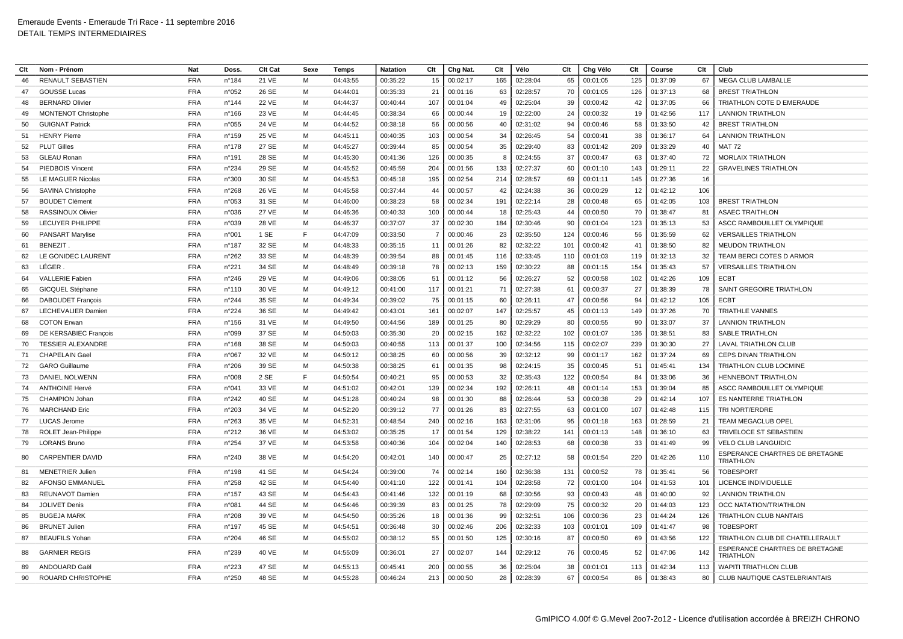| Clt | Nom - Prénom               | <b>Nat</b> | Doss            | Clt Cat      | Sexe | Temps    | Clt<br><b>Natation</b> |                | Chg Nat. | Clt | Vélo     | Clt | Chg Vélo | Clt | Course   | Clt | Club                                               |
|-----|----------------------------|------------|-----------------|--------------|------|----------|------------------------|----------------|----------|-----|----------|-----|----------|-----|----------|-----|----------------------------------------------------|
| 46  | <b>RENAULT SEBASTIEN</b>   | <b>FRA</b> | n°184           | 21 VE        | M    | 04:43:55 | 00:35:22               | 15             | 00:02:17 | 165 | 02:28:04 | 65  | 00:01:05 | 125 | 01:37:09 | 67  | <b>MEGA CLUB LAMBALLE</b>                          |
| 47  | <b>GOUSSE Lucas</b>        | <b>FRA</b> | n°052           | 26 SE        | M    | 04:44:01 | 00:35:33               | 21             | 00:01:16 | 63  | 02:28:57 | 70  | 00:01:05 | 126 | 01:37:13 | 68  | <b>BREST TRIATHLON</b>                             |
| 48  | <b>BERNARD Olivier</b>     | <b>FRA</b> | n°144           | <b>22 VE</b> | M    | 04:44:37 | 00:40:44               | 107            | 00:01:04 | 49  | 02:25:04 | 39  | 00:00:42 | 42  | 01:37:05 | 66  | TRIATHLON COTE D EMERAUDE                          |
| 49  | <b>MONTENOT Christophe</b> | <b>FRA</b> | $n^{\circ}$ 166 | 23 VE        | M    | 04:44:45 | 00:38:34               | 66             | 00:00:44 | 19  | 02:22:00 | 24  | 00:00:32 | 19  | 01:42:56 | 117 | LANNION TRIATHLON                                  |
| 50  | <b>GUIGNAT Patrick</b>     | <b>FRA</b> | n°055           | 24 VE        | M    | 04:44:52 | 00:38:18               | 56             | 00:00:56 | 40  | 02:31:02 | 94  | 00:00:46 | 58  | 01:33:50 | 42  | <b>BREST TRIATHLON</b>                             |
| 51  | <b>HENRY Pierre</b>        | <b>FRA</b> | $n^{\circ}$ 159 | 25 VE        | M    | 04:45:11 | 00:40:35               | 103            | 00:00:54 | 34  | 02:26:45 | 54  | 00:00:41 | 38  | 01:36:17 | 64  | <b>LANNION TRIATHLON</b>                           |
| 52  | <b>PLUT Gilles</b>         | <b>FRA</b> | $n^{\circ}$ 178 | 27 SE        | м    | 04:45:27 | 00:39:44               | 85             | 00:00:54 | 35  | 02:29:40 | 83  | 00:01:42 | 209 | 01:33:29 | 40  | MAT 72                                             |
| 53  | <b>GLEAU Ronan</b>         | <b>FRA</b> | n°191           | 28 SE        | M    | 04:45:30 | 00:41:36               | 126            | 00:00:35 | 8   | 02:24:55 | 37  | 00:00:47 | 63  | 01:37:40 | 72  | <b>MORLAIX TRIATHLON</b>                           |
| 54  | PIEDBOIS Vincent           | <b>FRA</b> | n°234           | 29 SE        | M    | 04:45:52 | 00:45:59               | 204            | 00:01:56 | 133 | 02:27:37 | 60  | 00:01:10 | 143 | 01:29:11 | 22  | <b>GRAVELINES TRIATHLON</b>                        |
| 55  | LE MAGUER Nicolas          | <b>FRA</b> | n°300           | 30 SE        | M    | 04:45:53 | 00:45:18               | 195            | 00:02:54 | 214 | 02:28:57 | 69  | 00:01:11 | 145 | 01:27:36 | 16  |                                                    |
| 56  | SAVINA Christophe          | <b>FRA</b> | n°268           | 26 VE        | м    | 04:45:58 | 00:37:44               | 44             | 00:00:57 | 42  | 02:24:38 | 36  | 00:00:29 | 12  | 01:42:12 | 106 |                                                    |
| 57  | <b>BOUDET Clément</b>      | <b>FRA</b> | n°053           | 31 SE        | M    | 04:46:00 | 00:38:23               | 58             | 00:02:34 | 191 | 02:22:14 | 28  | 00:00:48 | 65  | 01:42:05 | 103 | <b>BREST TRIATHLON</b>                             |
| 58  | <b>RASSINOUX Olivier</b>   | <b>FRA</b> | n°036           | 27 VE        | M    | 04:46:36 | 00:40:33               | 100            | 00:00:44 | 18  | 02:25:43 | 44  | 00:00:50 | 70  | 01:38:47 | 81  | <b>ASAEC TRAITHLON</b>                             |
| 59  | <b>LECUYER PHILIPPE</b>    | <b>FRA</b> | n°039           | 28 VE        | м    | 04:46:37 | 00:37:07               | 37             | 00:02:30 | 184 | 02:30:46 | 90  | 00:01:04 | 123 | 01:35:13 | 53  | ASCC RAMBOUILLET OLYMPIQUE                         |
| 60  | <b>PANSART Marylise</b>    | <b>FRA</b> | n°001           | 1 SE         | E    | 04:47:09 | 00:33:50               | $\overline{7}$ | 00:00:46 | 23  | 02:35:50 | 124 | 00:00:46 | 56  | 01:35:59 | 62  | <b>VERSAILLES TRIATHLON</b>                        |
| 61  | <b>BENEZIT.</b>            | <b>FRA</b> | n°187           | 32 SE        | M    | 04:48:33 | 00:35:15               | 11             | 00:01:26 | 82  | 02:32:22 | 101 | 00:00:42 | 41  | 01:38:50 | 82  | <b>MEUDON TRIATHLON</b>                            |
| 62  | LE GONIDEC LAURENT         | <b>FRA</b> | n°262           | 33 SE        | M    | 04:48:39 | 00:39:54               | 88             | 00:01:45 | 116 | 02:33:45 | 110 | 00:01:03 | 119 | 01:32:13 | 32  | TEAM BERCI COTES D ARMOR                           |
| 63  | LÉGER                      | <b>FRA</b> | n°221           | 34 SE        | м    | 04:48:49 | 00:39:18               | 78             | 00:02:13 | 159 | 02:30:22 | 88  | 00:01:15 | 154 | 01:35:43 | 57  | <b>VERSAILLES TRIATHLON</b>                        |
| 64  | <b>VALLERIE Fabien</b>     | <b>FRA</b> | n°246           | 29 VE        | M    | 04:49:06 | 00:38:05               | 51             | 00:01:12 | 56  | 02:26:27 | 52  | 00:00:58 | 102 | 01:42:26 | 109 | <b>ECBT</b>                                        |
| 65  | GICQUEL Stéphane           | <b>FRA</b> | $n^{\circ}110$  | 30 VE        | M    | 04:49:12 | 00:41:00               | 117            | 00:01:21 | 71  | 02:27:38 | 61  | 00:00:37 | 27  | 01:38:39 | 78  | <b>SAINT GREGOIRE TRIATHLON</b>                    |
| 66  | <b>DABOUDET François</b>   | <b>FRA</b> | n°244           | 35 SE        | M    | 04:49:34 | 00:39:02               | 75             | 00:01:15 | 60  | 02:26:11 | 47  | 00:00:56 | 94  | 01:42:12 | 105 | <b>ECBT</b>                                        |
| 67  | <b>LECHEVALIER Damier</b>  | <b>FRA</b> | n°224           | 36 SE        | M    | 04:49:42 | 00:43:01<br>161        |                | 00:02:07 | 147 | 02:25:57 | 45  | 00:01:13 | 149 | 01:37:26 | 70  | <b>TRIATHLE VANNES</b>                             |
| 68  | <b>COTON Erwan</b>         | <b>FRA</b> | $n^{\circ}$ 156 | 31 VE        | M    | 04:49:50 | 00:44:56               | 189            | 00:01:25 | 80  | 02:29:29 | 80  | 00:00:55 | 90  | 01:33:07 | 37  | <b>LANNION TRIATHLON</b>                           |
| 69  | DE KERSABIEC François      | <b>FRA</b> | n°099           | 37 SE        | M    | 04:50:03 | 00:35:30               | 20             | 00:02:15 | 162 | 02:32:22 | 102 | 00:01:07 | 136 | 01:38:51 | 83  | <b>SABLE TRIATHLON</b>                             |
| 70  | <b>TESSIER ALEXANDRE</b>   | <b>FRA</b> | $n^{\circ}168$  | 38 SE        | м    | 04:50:03 | 00:40:55               | 113            | 00:01:37 | 100 | 02:34:56 | 115 | 00:02:07 | 239 | 01:30:30 | 27  | LAVAL TRIATHLON CLUB                               |
| 71  | <b>CHAPELAIN Gael</b>      | <b>FRA</b> | n°067           | 32 VE        | м    | 04:50:12 | 00:38:25               | 60             | 00:00:56 | 39  | 02:32:12 | 99  | 00:01:17 | 162 | 01:37:24 | 69  | CEPS DINAN TRIATHLON                               |
| 72  | <b>GARO</b> Guillaume      | <b>FRA</b> | n°206           | 39 SE        | M    | 04:50:38 | 00:38:25               | 61             | 00:01:35 | 98  | 02:24:15 | 35  | 00:00:45 | 51  | 01:45:41 | 134 | TRIATHLON CLUB LOCMINE                             |
| 73  | DANIEL NOLWENN             | <b>FRA</b> | n°008           | 2 SE         | E    | 04:50:54 | 00:40:21               | 95             | 00:00:53 | 32  | 02:35:43 | 122 | 00:00:54 | 84  | 01:33:06 | 36  | <b>HENNEBONT TRIATHLON</b>                         |
| 74  | <b>ANTHOINE Hervé</b>      | <b>FRA</b> | n°041           | 33 VE        | M    | 04:51:02 | 00:42:01               | 139            | 00:02:34 | 192 | 02:26:11 | 48  | 00:01:14 | 153 | 01:39:04 | 85  | ASCC RAMBOUILLET OLYMPIQUE                         |
| 75  | CHAMPION Johan             | <b>FRA</b> | n°242           | 40 SE        | M    | 04:51:28 | 00:40:24               | 98             | 00:01:30 | 88  | 02:26:44 | 53  | 00:00:38 | 29  | 01:42:14 | 107 | ES NANTERRE TRIATHLON                              |
| 76  | <b>MARCHAND Eric</b>       | <b>FRA</b> | n°203           | 34 VE        | M    | 04:52:20 | 00:39:12               | 77             | 00:01:26 | 83  | 02:27:55 | 63  | 00:01:00 | 107 | 01:42:48 | 115 | TRI NORT/ERDRE                                     |
| 77  | <b>LUCAS Jerome</b>        | <b>FRA</b> | n°263           | 35 VE        | M    | 04:52:31 | 00:48:54               | 240            | 00:02:16 | 163 | 02:31:06 | 95  | 00:01:18 | 163 | 01:28:59 | 21  | TEAM MEGACLUB OPEL                                 |
| 78  | ROLET Jean-Philippe        | <b>FRA</b> | n°212           | 36 VE        | м    | 04:53:02 | 00:35:25               | 17             | 00:01:54 | 129 | 02:38:22 | 141 | 00:01:13 | 148 | 01:36:10 | 63  | TRIVELOCE ST SEBASTIEN                             |
| 79  | <b>LORANS Bruno</b>        | <b>FRA</b> | n°254           | 37 VE        | M    | 04:53:58 | 00:40:36               | 104            | 00:02:04 | 140 | 02:28:53 | 68  | 00:00:38 | 33  | 01:41:49 | 99  | <b>VELO CLUB LANGUIDIC</b>                         |
| 80  | <b>CARPENTIER DAVID</b>    | <b>FRA</b> | n°240           | 38 VE        | м    | 04:54:20 | 00:42:01               | 140            | 00:00:47 | 25  | 02:27:12 | 58  | 00:01:54 | 220 | 01:42:26 | 110 | <b>ESPERANCE CHARTRES DE BRETAGNE</b><br>TRIATHLON |
| 81  | <b>MENETRIER Julien</b>    | <b>FRA</b> | n°198           | 41 SE        | M    | 04:54:24 | 00:39:00               | 74             | 00:02:14 | 160 | 02:36:38 | 131 | 00:00:52 | 78  | 01:35:41 | 56  | <b>TOBESPORT</b>                                   |
| 82  | AFONSO EMMANUEL            | <b>FRA</b> | n°258           | 42 SE        | M    | 04:54:40 | 00:41:10               | 122            | 00:01:41 | 104 | 02:28:58 | 72  | 00:01:00 | 104 | 01:41:53 | 101 | <b>LICENCE INDIVIDUELLE</b>                        |
| 83  | REUNAVOT Damien            | <b>FRA</b> | $n^{\circ}$ 157 | 43 SE        | м    | 04:54:43 | 00:41:46               | 132            | 00:01:19 | 68  | 02:30:56 | 93  | 00:00:43 | 48  | 01:40:00 | 92  | <b>LANNION TRIATHLON</b>                           |
| 84  | JOLIVET Denis              | <b>FRA</b> | n°081           | 44 SE        | M    | 04:54:46 | 00:39:39               | 83             | 00:01:25 | 78  | 02:29:09 | 75  | 00:00:32 | 20  | 01:44:03 | 123 | OCC NATATION/TRIATHLON                             |
| 85  | <b>BUGEJA MARK</b>         | <b>FRA</b> | n°208           | 39 VE        | M    | 04:54:50 | 00:35:26               | 18             | 00:01:36 | 99  | 02:32:51 | 106 | 00:00:36 | 23  | 01:44:24 | 126 | TRIATHLON CLUB NANTAIS                             |
| 86  | <b>BRUNET Julier</b>       | <b>FRA</b> | n°197           | 45 SE        | M    | 04:54:51 | 00:36:48               | 30             | 00:02:46 | 206 | 02:32:33 | 103 | 00:01:01 | 109 | 01:41:47 | 98  | <b>TOBESPORT</b>                                   |
| 87  | <b>BEAUFILS Yohar</b>      | <b>FRA</b> | n°204           | 46 SE        | м    | 04:55:02 | 00:38:12               | 55             | 00:01:50 | 125 | 02:30:16 | 87  | 00:00:50 | 69  | 01:43:56 | 122 | TRIATHLON CLUB DE CHATELLERAULT                    |
| 88  | <b>GARNIER REGIS</b>       | <b>FRA</b> | n°239           | 40 VE        | м    | 04:55:09 | 00:36:01               | 27             | 00:02:07 | 144 | 02:29:12 | 76  | 00:00:45 | 52  | 01:47:06 | 142 | ESPERANCE CHARTRES DE BRETAGNE<br><b>TRIATHLON</b> |
| 89  | ANDOUARD Gaël              | <b>FRA</b> | n°223           | 47 SE        | м    | 04:55:13 | 00:45:41               | 200            | 00:00:55 | 36  | 02:25:04 | 38  | 00:01:01 | 113 | 01:42:34 | 113 | <b>WAPITI TRIATHLON CLUB</b>                       |
| 90  | <b>ROUARD CHRISTOPHE</b>   | <b>FRA</b> | n°250           | 48 SE        | M    | 04:55:28 | 00:46:24               | 213            | 00:00:50 | 28  | 02:28:39 | 67  | 00:00:54 | 86  | 01:38:43 | 80  | CLUB NAUTIQUE CASTELBRIANTAIS                      |
|     |                            |            |                 |              |      |          |                        |                |          |     |          |     |          |     |          |     |                                                    |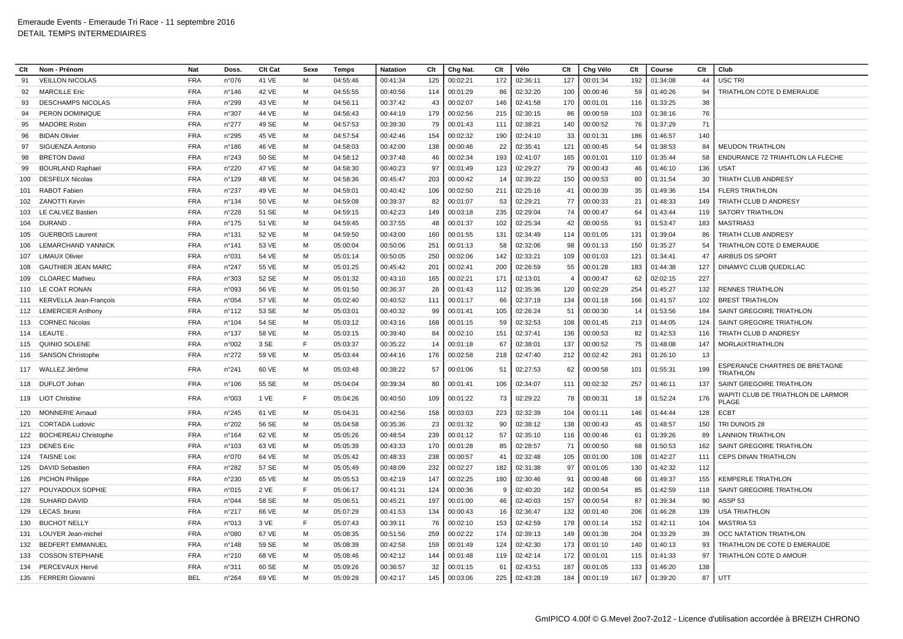| Clt | Nom - Prénom                | <b>Nat</b> | Doss            | Clt Cat | Sexe | <b>Temps</b> | <b>Natation</b> | Clt | Chg Nat. | Clt | Vélo     | Clt            | Chg Vélo | Clt | Course   | Clt | Club                                                      |
|-----|-----------------------------|------------|-----------------|---------|------|--------------|-----------------|-----|----------|-----|----------|----------------|----------|-----|----------|-----|-----------------------------------------------------------|
| 91  | <b>VEILLON NICOLAS</b>      | <b>FRA</b> | n°076           | 41 VE   | M    | 04:55:46     | 00:41:34        | 125 | 00:02:21 | 172 | 02:36:11 | 127            | 00:01:34 | 192 | 01:34:08 | 44  | USC TRI                                                   |
| 92  | <b>MARCILLE Eric</b>        | <b>FRA</b> | $n^{\circ}$ 146 | 42 VE   | м    | 04:55:55     | 00:40:56        | 114 | 00:01:29 | 86  | 02:32:20 | 100            | 00:00:46 | 59  | 01:40:26 | 94  | TRIATHLON COTE D EMERAUDE                                 |
| 93  | <b>DESCHAMPS NICOLAS</b>    | <b>FRA</b> | n°299           | 43 VE   | м    | 04:56:11     | 00:37:42        | 43  | 00:02:07 | 146 | 02:41:58 | 170            | 00:01:01 | 116 | 01:33:25 | 38  |                                                           |
| 94  | PERON DOMINIQUE             | <b>FRA</b> | n°307           | 44 VE   | м    | 04:56:43     | 00:44:19        | 179 | 00:02:56 | 215 | 02:30:15 | 86             | 00:00:59 | 103 | 01:38:16 | 76  |                                                           |
| 95  | <b>MADORE Robin</b>         | <b>FRA</b> | n°277           | 49 SE   | М    | 04:57:53     | 00:39:30        | 79  | 00:01:43 | 111 | 02:38:21 | 140            | 00:00:52 | 76  | 01:37:29 | 71  |                                                           |
| 96  | <b>BIDAN Olivier</b>        | <b>FRA</b> | n°295           | 45 VE   | м    | 04:57:54     | 00:42:46        | 154 | 00:02:32 | 190 | 02:24:10 | 33             | 00:01:31 | 186 | 01:46:57 | 140 |                                                           |
| 97  | SIGUENZA Antonio            | <b>FRA</b> | n°186           | 46 VE   | м    | 04:58:03     | 00:42:00        | 138 | 00:00:46 | 22  | 02:35:41 | 121            | 00:00:45 | 54  | 01:38:53 | 84  | <b>MEUDON TRIATHLON</b>                                   |
| 98  | <b>BRETON David</b>         | <b>FRA</b> | n°243           | 50 SE   | м    | 04:58:12     | 00:37:48        | 46  | 00:02:34 | 193 | 02:41:07 | 165            | 00:01:01 | 110 | 01:35:44 | 58  | <b>ENDURANCE 72 TRIAHTLON LA FLECHE</b>                   |
| 99  | <b>BOURLAND Raphael</b>     | <b>FRA</b> | n°220           | 47 VE   | м    | 04:58:30     | 00:40:23        | 97  | 00:01:49 | 123 | 02:29:27 | 79             | 00:00:43 | 46  | 01:46:10 | 136 | <b>USAT</b>                                               |
| 100 | <b>DESFEUX Nicolas</b>      | <b>FRA</b> | n°129           | 48 VE   | м    | 04:58:36     | 00:45:47        | 203 | 00:00:42 | 14  | 02:39:22 | 150            | 00:00:53 | 80  | 01:31:54 | 30  | TRIATH CLUB ANDRESY                                       |
| 101 | <b>RABOT Fabien</b>         | <b>FRA</b> | n°237           | 49 VE   | м    | 04:59:01     | 00:40:42        | 106 | 00:02:50 | 211 | 02:25:16 | 41             | 00:00:39 | 35  | 01:49:36 | 154 | <b>FLERS TRIATHLON</b>                                    |
| 102 | ZANOTTI Kevin               | <b>FRA</b> | $n^{\circ}$ 134 | 50 VE   | м    | 04:59:08     | 00:39:37        | 82  | 00:01:07 | 53  | 02:29:21 | 77             | 00:00:33 | 21  | 01:48:33 | 149 | TRIATH CLUB D ANDRESY                                     |
| 103 | LE CALVEZ Bastien           | <b>FRA</b> | n°228           | 51 SE   | м    | 04:59:15     | 00:42:23        | 149 | 00:03:18 | 235 | 02:29:04 | 74             | 00:00:47 | 64  | 01:43:44 | 119 | <b>SATORY TRIATHLON</b>                                   |
| 104 | <b>DURAND</b>               | <b>FRA</b> | $n^{\circ}$ 175 | 51 VE   | м    | 04:59:45     | 00:37:55        | 48  | 00:01:37 | 102 | 02:25:34 | 42             | 00:00:55 | 91  | 01:53:47 | 183 | MASTRIA53                                                 |
| 105 | <b>GUERBOIS Laurent</b>     | <b>FRA</b> | $n^{\circ}$ 131 | 52 VE   | M    | 04:59:50     | 00:43:00        | 160 | 00:01:55 | 131 | 02:34:49 | 114            | 00:01:05 | 131 | 01:39:04 | 86  | TRIATH CLUB ANDRESY                                       |
| 106 | <b>LEMARCHAND YANNICK</b>   | <b>FRA</b> | $n^{\circ}$ 141 | 53 VE   | м    | 05:00:04     | 00:50:06        | 251 | 00:01:13 | 58  | 02:32:06 | 98             | 00:01:13 | 150 | 01:35:27 | 54  | TRIATHLON COTE D EMERAUDE                                 |
| 107 | <b>LIMAUX Olivier</b>       | <b>FRA</b> | n°031           | 54 VE   | M    | 05:01:14     | 00:50:05        | 250 | 00:02:06 | 142 | 02:33:21 | 109            | 00:01:03 | 121 | 01:34:41 | 47  | <b>AIRBUS DS SPORT</b>                                    |
| 108 | <b>GAUTHIER JEAN MARC</b>   | <b>FRA</b> | n°247           | 55 VE   | м    | 05:01:25     | 00:45:42        | 201 | 00:02:41 | 200 | 02:26:59 | 55             | 00:01:28 | 183 | 01:44:38 | 127 | DINAMYC CLUB QUEDILLAC                                    |
| 109 | <b>CLOAREC Mathieu</b>      | <b>FRA</b> | n°303           | 52 SE   | м    | 05:01:32     | 00:43:10        | 165 | 00:02:21 | 171 | 02:13:01 | $\overline{4}$ | 00:00:47 | 62  | 02:02:15 | 227 |                                                           |
| 110 | LE COAT RONAN               | <b>FRA</b> | n°093           | 56 VE   | м    | 05:01:50     | 00:36:37        | 28  | 00:01:43 | 112 | 02:35:36 | 120            | 00:02:29 | 254 | 01:45:27 | 132 | <b>RENNES TRIATHLON</b>                                   |
| 111 | KERVELLA Jean-François      | <b>FRA</b> | n°054           | 57 VE   | M    | 05:02:40     | 00:40:52        | 111 | 00:01:17 | 66  | 02:37:19 | 134            | 00:01:18 | 166 | 01:41:57 | 102 | <b>BREST TRIATHLON</b>                                    |
| 112 | <b>LEMERCIER Anthony</b>    | <b>FRA</b> | $n^{\circ}$ 112 | 53 SE   | м    | 05:03:01     | 00:40:32        | 99  | 00:01:41 | 105 | 02:26:24 | 51             | 00:00:30 | 14  | 01:53:56 | 184 | SAINT GREGOIRE TRIATHLON                                  |
| 113 | <b>CORNEC Nicolas</b>       | <b>FRA</b> | $n^{\circ}104$  | 54 SE   | м    | 05:03:12     | 00:43:16        | 168 | 00:01:15 | 59  | 02:32:53 | 108            | 00:01:45 | 213 | 01:44:05 | 124 | SAINT GREGOIRE TRIATHLON                                  |
| 114 | LEAUTE                      | <b>FRA</b> | $n^{\circ}$ 137 | 58 VE   | M    | 05:03:15     | 00:39:40        | 84  | 00:02:10 | 151 | 02:37:41 | 136            | 00:00:53 | 82  | 01:42:53 | 116 | TRIATH CLUB D ANDRESY                                     |
| 115 | <b>QUINIO SOLENE</b>        | <b>FRA</b> | n°002           | 3 SE    | F    | 05:03:37     | 00:35:22        | 14  | 00:01:18 | 67  | 02:38:01 | 137            | 00:00:52 | 75  | 01:48:08 | 147 | <b>MORLAIXTRIATHLON</b>                                   |
| 116 | <b>SANSON Christophe</b>    | <b>FRA</b> | n°272           | 59 VE   | M    | 05:03:44     | 00:44:16        | 176 | 00:02:58 | 218 | 02:47:40 | 212            | 00:02:42 | 261 | 01:26:10 | 13  |                                                           |
| 117 | WALLEZ Jérôme               | <b>FRA</b> | n°241           | 60 VE   | м    | 05:03:48     | 00:38:22        | 57  | 00:01:06 | 51  | 02:27:53 | 62             | 00:00:58 | 101 | 01:55:31 | 199 | <b>ESPERANCE CHARTRES DE BRETAGNE</b><br><b>TRIATHLON</b> |
| 118 | DUFLOT Johan                | <b>FRA</b> | n°106           | 55 SE   | м    | 05:04:04     | 00:39:34        | 80  | 00:01:41 | 106 | 02:34:07 | 111            | 00:02:32 | 257 | 01:46:11 | 137 | SAINT GREGOIRE TRIATHLON                                  |
| 119 | <b>LIOT Christine</b>       | <b>FRA</b> | n°003           | 1 VE    | F    | 05:04:26     | 00:40:50        | 109 | 00:01:22 | 73  | 02:29:22 | 78             | 00:00:31 | 18  | 01:52:24 | 176 | WAPITI CLUB DE TRIATHLON DE LARMOR<br><b>PLAGE</b>        |
| 120 | <b>MONNERIE Arnaud</b>      | <b>FRA</b> | n°245           | 61 VE   | м    | 05:04:31     | 00:42:56        | 158 | 00:03:03 | 223 | 02:32:39 | 104            | 00:01:11 | 146 | 01:44:44 | 128 | <b>ECBT</b>                                               |
| 121 | <b>CORTADA Ludovic</b>      | <b>FRA</b> | n°202           | 56 SE   | М    | 05:04:58     | 00:35:36        | 23  | 00:01:32 | 90  | 02:38:12 | 138            | 00:00:43 | 45  | 01:48:57 | 150 | TRI DUNOIS 28                                             |
| 122 | <b>BOCHEREAU Christophe</b> | <b>FRA</b> | $n^{\circ}$ 164 | 62 VE   | м    | 05:05:26     | 00:48:54        | 239 | 00:01:12 | 57  | 02:35:10 | 116            | 00:00:46 | 61  | 01:39:26 | 89  | <b>LANNION TRIATHLON</b>                                  |
| 123 | <b>DENES Eric</b>           | <b>FRA</b> | n°103           | 63 VE   | M    | 05:05:39     | 00:43:33        | 170 | 00:01:28 | 85  | 02:28:57 | 71             | 00:00:50 | 68  | 01:50:53 | 162 | SAINT GREGOIRE TRIATHLON                                  |
| 124 | <b>TAISNE Loic</b>          | <b>FRA</b> | n°070           | 64 VE   | M    | 05:05:42     | 00:48:33        | 238 | 00:00:57 | 41  | 02:32:48 | 105            | 00:01:00 | 108 | 01:42:27 | 111 | CEPS DINAN TRIATHLON                                      |
| 125 | <b>DAVID Sebastien</b>      | <b>FRA</b> | n°282           | 57 SE   | М    | 05:05:49     | 00:48:09        | 232 | 00:02:27 | 182 | 02:31:38 | 97             | 00:01:05 | 130 | 01:42:32 | 112 |                                                           |
| 126 | <b>PICHON Philippe</b>      | <b>FRA</b> | n°230           | 65 VE   | м    | 05:05:53     | 00:42:19        | 147 | 00:02:25 | 180 | 02:30:46 | 91             | 00:00:48 | 66  | 01:49:37 | 155 | <b>KEMPERLE TRIATHLON</b>                                 |
| 127 | POUYADOUX SOPHIE            | <b>FRA</b> | n°015           | 2 VE    | E    | 05:06:17     | 00:41:31        | 124 | 00:00:36 | -9  | 02:40:20 | 162            | 00:00:54 | 85  | 01:42:59 | 118 | SAINT GREGOIRE TRIATHLON                                  |
| 128 | <b>SUHARD DAVID</b>         | <b>FRA</b> | n°044           | 58 SE   | м    | 05:06:51     | 00:45:21        | 197 | 00:01:00 | 46  | 02:40:03 | 157            | 00:00:54 | 87  | 01:39:34 | 90  | ASSP <sub>53</sub>                                        |
| 129 | LECAS .bruno                | <b>FRA</b> | n°217           | 66 VE   | м    | 05:07:29     | 00:41:53        | 134 | 00:00:43 | 16  | 02:36:47 | 132            | 00:01:40 | 206 | 01:46:28 | 139 | <b>USA TRIATHLON</b>                                      |
| 130 | <b>BUCHOT NELLY</b>         | <b>FRA</b> | n°013           | 3 VE    | E    | 05:07:43     | 00:39:11        | 76  | 00:02:10 | 153 | 02:42:59 | 178            | 00:01:14 | 152 | 01:42:11 | 104 | <b>MASTRIA 53</b>                                         |
| 131 | LOUYER Jean-michel          | <b>FRA</b> | n°080           | 67 VE   | M    | 05:08:35     | 00:51:56        | 259 | 00:02:22 | 174 | 02:39:13 | 149            | 00:01:38 | 204 | 01:33:29 | 39  | OCC NATATION TRIATHLON                                    |
| 132 | <b>BEDFERT EMMANUEL</b>     | <b>FRA</b> | n°148           | 59 SE   | м    | 05:08:39     | 00:42:58        | 159 | 00:01:49 | 124 | 02:42:30 | 173            | 00:01:10 | 140 | 01:40:13 | 93  | TRIATHLON DE COTE D EMERAUDE                              |
| 133 | <b>COSSON STEPHANE</b>      | <b>FRA</b> | n°210           | 68 VE   | м    | 05:08:46     | 00:42:12        | 144 | 00:01:48 | 119 | 02:42:14 | 172            | 00:01:01 | 115 | 01:41:33 | 97  | TRIATHLON COTE D AMOUR                                    |
| 134 | PERCEVAUX Hervé             | <b>FRA</b> | n°311           | 60 SE   | м    | 05:09:26     | 00:36:57        | 32  | 00:01:15 | 61  | 02:43:51 | 187            | 00:01:05 | 133 | 01:46:20 | 138 |                                                           |
|     | 135 FERRERI Giovanni        | <b>BEL</b> | n°264           | 69 VE   | м    | 05:09:28     | 00:42:17        | 145 | 00:03:06 | 225 | 02:43:28 | 184            | 00:01:19 | 167 | 01:39:20 | 87  | UTT                                                       |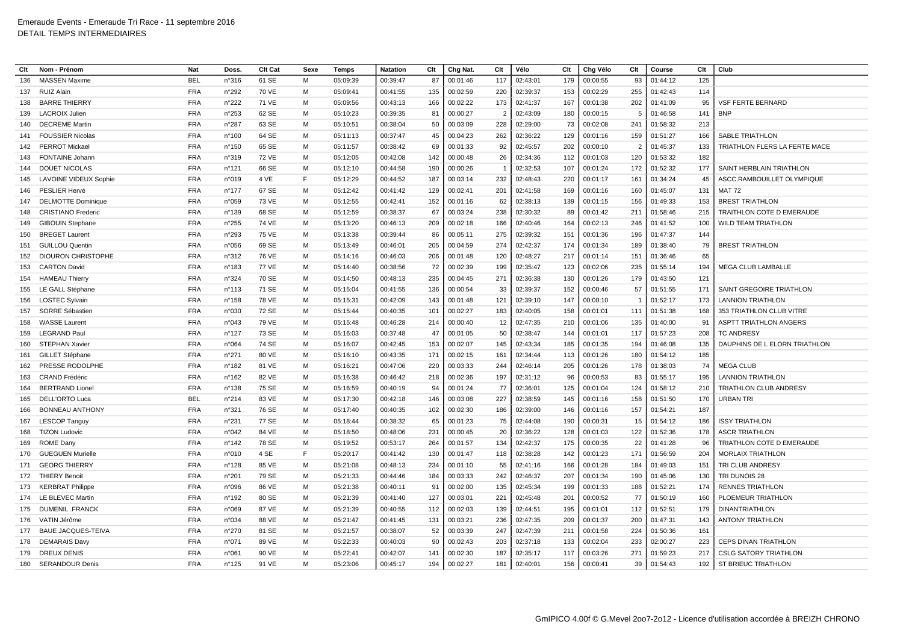| Clt | Nom - Prénom                 | Nat        | Doss.           | Clt Cat      | Sexe | Temps    | <b>Natation</b><br>Clt |     | Chg Nat. | Clt            | Vélo     | Clt | Chg Vélo | Clt | Course   | Clt | Club                             |
|-----|------------------------------|------------|-----------------|--------------|------|----------|------------------------|-----|----------|----------------|----------|-----|----------|-----|----------|-----|----------------------------------|
| 136 | <b>MASSEN Maxime</b>         | <b>BEL</b> | n°316           | 61 SE        | M    | 05:09:39 | 00:39:47               | 87  | 00:01:46 | 117            | 02:43:01 | 179 | 00:00:55 | 93  | 01:44:12 | 125 |                                  |
| 137 | <b>RUIZ Alain</b>            | <b>FRA</b> | n°292           | 70 VE        | м    | 05:09:41 | 00:41:55               | 135 | 00:02:59 | 220            | 02:39:37 | 153 | 00:02:29 | 255 | 01:42:43 | 114 |                                  |
| 138 | <b>BARRE THIERRY</b>         | <b>FRA</b> | n°222           | 71 VE        | M    | 05:09:56 | 00:43:13               | 166 | 00:02:22 | 173            | 02:41:37 | 167 | 00:01:38 | 202 | 01:41:09 | 95  | <b>VSF FERTE BERNARD</b>         |
| 139 | <b>LACROIX Julien</b>        | <b>FRA</b> | n°253           | 62 SE        | м    | 05:10:23 | 00:39:35               | 81  | 00:00:27 | $\overline{2}$ | 02:43:09 | 180 | 00:00:15 | 5   | 01:46:58 | 141 | <b>BNP</b>                       |
| 140 | <b>DECREME Martin</b>        | <b>FRA</b> | n°287           | 63 SE        | м    | 05:10:51 | 00:38:04               | 50  | 00:03:09 | 228            | 02:29:00 | 73  | 00:02:08 | 241 | 01:58:32 | 213 |                                  |
| 141 | <b>FOUSSIER Nicolas</b>      | <b>FRA</b> | n°100           | 64 SE        | M    | 05:11:13 | 00:37:47               | 45  | 00:04:23 | 262            | 02:36:22 | 129 | 00:01:16 | 159 | 01:51:27 | 166 | <b>SABLE TRIATHLON</b>           |
| 142 | <b>PERROT Mickael</b>        | <b>FRA</b> | n°150           | 65 SE        | м    | 05:11:57 | 00:38:42               | 69  | 00:01:33 | 92             | 02:45:57 | 202 | 00:00:10 | 2   | 01:45:37 | 133 | TRIATHLON FLERS LA FERTE MACE    |
| 143 | <b>FONTAINE Johann</b>       | <b>FRA</b> | n°319           | <b>72 VE</b> | M    | 05:12:05 | 00:42:08               | 142 | 00:00:48 | 26             | 02:34:36 | 112 | 00:01:03 | 120 | 01:53:32 | 182 |                                  |
| 144 | <b>DOUET NICOLAS</b>         | <b>FRA</b> | n°121           | 66 SE        | M    | 05:12:10 | 00:44:58               | 190 | 00:00:26 | $\overline{1}$ | 02:32:53 | 107 | 00:01:24 | 172 | 01:52:32 | 177 | SAINT HERBLAIN TRIATHLON         |
| 145 | <b>LAVOINE VIDEUX Sophie</b> | <b>FRA</b> | n°019           | 4 VE         | F    | 05:12:29 | 00:44:52               | 187 | 00:03:14 | 232            | 02:48:43 | 220 | 00:01:17 | 161 | 01:34:24 | 45  | ASCC.RAMBOUILLET OLYMPIQUE       |
| 146 | PESLIER Hervé                | <b>FRA</b> | $n^{\circ}$ 177 | 67 SE        | M    | 05:12:42 | 00:41:42               | 129 | 00:02:41 | 201            | 02:41:58 | 169 | 00:01:16 | 160 | 01:45:07 | 131 | <b>MAT 72</b>                    |
| 147 | <b>DELMOTTE Dominique</b>    | <b>FRA</b> | n°059           | 73 VE        | м    | 05:12:55 | 00:42:41               | 152 | 00:01:16 | 62             | 02:38:13 | 139 | 00:01:15 | 156 | 01:49:33 | 153 | <b>BREST TRIATHLON</b>           |
| 148 | <b>CRISTIANO Frederic</b>    | <b>FRA</b> | $n^{\circ}$ 139 | 68 SE        | м    | 05:12:59 | 00:38:37               | 67  | 00:03:24 | 238            | 02:30:32 | 89  | 00:01:42 | 211 | 01:58:46 | 215 | <b>TRAITHLON COTE D EMERAUDE</b> |
| 149 | <b>GIBOUIN Stephane</b>      | <b>FRA</b> | n°255           | 74 VE        | M    | 05:13:20 | 00:46:13               | 209 | 00:02:18 | 166            | 02:40:46 | 164 | 00:02:13 | 246 | 01:41:52 | 100 | <b>WILD TEAM TRIATHLON</b>       |
| 150 | <b>BREGET Laurent</b>        | <b>FRA</b> | n°293           | 75 VE        | м    | 05:13:38 | 00:39:44               | 86  | 00:05:11 | 275            | 02:39:32 | 151 | 00:01:36 | 196 | 01:47:37 | 144 |                                  |
| 151 | <b>GUILLOU Quentin</b>       | <b>FRA</b> | n°056           | 69 SE        | M    | 05:13:49 | 00:46:01               | 205 | 00:04:59 | 274            | 02:42:37 | 174 | 00:01:34 | 189 | 01:38:40 | 79  | <b>BREST TRIATHLON</b>           |
| 152 | <b>DIOURON CHRISTOPHE</b>    | <b>FRA</b> | n°312           | 76 VE        | м    | 05:14:16 | 00:46:03               | 206 | 00:01:48 | 120            | 02:48:27 | 217 | 00:01:14 | 151 | 01:36:46 | 65  |                                  |
| 153 | <b>CARTON David</b>          | <b>FRA</b> | n°183           | 77 VE        | м    | 05:14:40 | 00:38:56               | 72  | 00:02:39 | 199            | 02:35:47 | 123 | 00:02:06 | 235 | 01:55:14 | 194 | MEGA CLUB LAMBALLE               |
| 154 | <b>HAMEAU Thierry</b>        | <b>FRA</b> | n°324           | 70 SE        | M    | 05:14:50 | 00:48:13               | 235 | 00:04:45 | 271            | 02:36:38 | 130 | 00:01:26 | 179 | 01:43:50 | 121 |                                  |
| 155 | LE GALL Stéphane             | <b>FRA</b> | n°113           | 71 SE        | м    | 05:15:04 | 00:41:55               | 136 | 00:00:54 | 33             | 02:39:37 | 152 | 00:00:46 | 57  | 01:51:55 | 171 | SAINT GREGOIRE TRIATHLON         |
| 156 | <b>LOSTEC Sylvain</b>        | <b>FRA</b> | $n^{\circ}$ 158 | 78 VE        | M    | 05:15:31 | 00:42:09               | 143 | 00:01:48 | 121            | 02:39:10 | 147 | 00:00:10 | - 1 | 01:52:17 | 173 | <b>LANNION TRIATHLON</b>         |
| 157 | SORRE Sébastien              | <b>FRA</b> | n°030           | 72 SE        | M    | 05:15:44 | 00:40:35               | 101 | 00:02:27 | 183            | 02:40:05 | 158 | 00:01:01 | 111 | 01:51:38 | 168 | 353 TRIATHLON CLUB VITRE         |
| 158 | <b>WASSE Laurent</b>         | <b>FRA</b> | n°043           | 79 VE        | м    | 05:15:48 | 00:46:28               | 214 | 00:00:40 | 12             | 02:47:35 | 210 | 00:01:06 | 135 | 01:40:00 | 91  | <b>ASPTT TRIATHLON ANGERS</b>    |
| 159 | <b>LEGRAND Paul</b>          | <b>FRA</b> | n°127           | 73 SE        | M    | 05:16:03 | 00:37:48               | 47  | 00:01:05 | 50             | 02:38:47 | 144 | 00:01:01 | 117 | 01:57:23 | 208 | <b>TC ANDRESY</b>                |
| 160 | STEPHAN Xavier               | <b>FRA</b> | n°064           | 74 SE        | м    | 05:16:07 | 00:42:45               | 153 | 00:02:07 | 145            | 02:43:34 | 185 | 00:01:35 | 194 | 01:46:08 | 135 | DAUPHINS DE L ELORN TRIATHLON    |
| 161 | <b>GILLET Stéphane</b>       | <b>FRA</b> | n°271           | 80 VE        | м    | 05:16:10 | 00:43:35               | 171 | 00:02:15 | 161            | 02:34:44 | 113 | 00:01:26 | 180 | 01:54:12 | 185 |                                  |
| 162 | PRESSE RODOLPHE              | <b>FRA</b> | n°182           | 81 VE        | M    | 05:16:21 | 00:47:06               | 220 | 00:03:33 | 244            | 02:46:14 | 205 | 00:01:26 | 178 | 01:38:03 | 74  | <b>MEGA CLUB</b>                 |
| 163 | <b>CRAND Frédéric</b>        | <b>FRA</b> | n°162           | 82 VE        | M    | 05:16:38 | 00:46:42               | 218 | 00:02:36 | 197            | 02:31:12 | 96  | 00:00:53 | 83  | 01:55:17 | 195 | <b>LANNION TRIATHLON</b>         |
| 164 | <b>BERTRAND Lionel</b>       | <b>FRA</b> | $n^{\circ}$ 138 | 75 SE        | M    | 05:16:59 | 00:40:19               | 94  | 00:01:24 | 77             | 02:36:01 | 125 | 00:01:04 | 124 | 01:58:12 | 210 | TRIATHLON CLUB ANDRESY           |
| 165 | DELL'ORTO Luca               | <b>BEL</b> | n°214           | 83 VE        | M    | 05:17:30 | 00:42:18               | 146 | 00:03:08 | 227            | 02:38:59 | 145 | 00:01:16 | 158 | 01:51:50 | 170 | <b>URBAN TRI</b>                 |
| 166 | <b>BONNEAU ANTHONY</b>       | <b>FRA</b> | n°321           | 76 SE        | M    | 05:17:40 | 00:40:35               | 102 | 00:02:30 | 186            | 02:39:00 | 146 | 00:01:16 | 157 | 01:54:21 | 187 |                                  |
| 167 | <b>LESCOP Tanguy</b>         | <b>FRA</b> | n°231           | 77 SE        | M    | 05:18:44 | 00:38:32               | 65  | 00:01:23 | 75             | 02:44:08 | 190 | 00:00:31 | 15  | 01:54:12 | 186 | <b>ISSY TRIATHLON</b>            |
| 168 | <b>TIZON Ludovic</b>         | <b>FRA</b> | n°042           | 84 VE        | M    | 05:18:50 | 00:48:06               | 231 | 00:00:45 | 20             | 02:36:22 | 128 | 00:01:03 | 122 | 01:52:36 | 178 | <b>ASCR TRIATHLON</b>            |
| 169 | <b>ROME Dany</b>             | <b>FRA</b> | $n^{\circ}$ 142 | 78 SE        | м    | 05:19:52 | 00:53:17               | 264 | 00:01:57 | 134            | 02:42:37 | 175 | 00:00:35 | 22  | 01:41:28 | 96  | TRIATHLON COTE D EMERAUDE        |
| 170 | <b>GUEGUEN Murielle</b>      | <b>FRA</b> | n°010           | 4 SE         | E    | 05:20:17 | 00:41:42               | 130 | 00:01:47 | 118            | 02:38:28 | 142 | 00:01:23 | 171 | 01:56:59 | 204 | <b>MORLAIX TRIATHLON</b>         |
| 171 | <b>GEORG THIERRY</b>         | <b>FRA</b> | n°128           | 85 VE        | м    | 05:21:08 | 00:48:13               | 234 | 00:01:10 | 55             | 02:41:16 | 166 | 00:01:28 | 184 | 01:49:03 | 151 | TRI CLUB ANDRESY                 |
| 172 | <b>THIERY Benoit</b>         | <b>FRA</b> | n°201           | 79 SE        | M    | 05:21:33 | 00:44:46               | 184 | 00:03:33 | 242            | 02:46:37 | 207 | 00:01:34 | 190 | 01:45:06 | 130 | TRI DUNOIS 28                    |
| 173 | <b>KERBRAT Philippe</b>      | <b>FRA</b> | n°096           | 86 VE        | M    | 05:21:38 | 00:40:11               | 91  | 00:02:00 | 135            | 02:45:34 | 199 | 00:01:33 | 188 | 01:52:21 | 174 | <b>RENNES TRIATHLON</b>          |
| 174 | LE BLEVEC Martin             | <b>FRA</b> | n°192           | 80 SE        | м    | 05:21:39 | 00:41:40               | 127 | 00:03:01 | 221            | 02:45:48 | 201 | 00:00:52 | 77  | 01:50:19 | 160 | PLOEMEUR TRIATHLON               |
| 175 | <b>DUMENIL .FRANCK</b>       | <b>FRA</b> | n°069           | 87 VE        | M    | 05:21:39 | 00:40:55               | 112 | 00:02:03 | 139            | 02:44:51 | 195 | 00:01:01 | 112 | 01:52:51 | 179 | <b>DINANTRIATHLON</b>            |
| 176 | VATIN Jérôme                 | <b>FRA</b> | n°034           | 88 VE        | м    | 05:21:47 | 00:41:45               | 131 | 00:03:21 | 236            | 02:47:35 | 209 | 00:01:37 | 200 | 01:47:31 | 143 | <b>ANTONY TRIATHLON</b>          |
| 177 | <b>BAUE JACQUES-TEIVA</b>    | <b>FRA</b> | n°270           | 81 SE        | м    | 05:21:57 | 00:38:07               | 52  | 00:03:39 | 247            | 02:47:39 | 211 | 00:01:58 | 224 | 01:50:36 | 161 |                                  |
| 178 | <b>DEMARAIS Davy</b>         | <b>FRA</b> | n°071           | 89 VE        | M    | 05:22:33 | 00:40:03               | 90  | 00:02:43 | 203            | 02:37:18 | 133 | 00:02:04 | 233 | 02:00:27 | 223 | <b>CEPS DINAN TRIATHLON</b>      |
| 179 | <b>DREUX DENIS</b>           | <b>FRA</b> | n°061           | 90 VE        | м    | 05:22:41 | 00:42:07               | 141 | 00:02:30 | 187            | 02:35:17 | 117 | 00:03:26 | 271 | 01:59:23 | 217 | <b>CSLG SATORY TRIATHLON</b>     |
|     | 180 SERANDOUR Denis          | <b>FRA</b> | $n^{\circ}$ 125 | 91 VE        | м    | 05:23:06 | 00:45:17               | 194 | 00:02:27 | 181            | 02:40:01 | 156 | 00:00:41 | 39  | 01:54:43 | 192 | ST BRIEUC TRIATHLON              |
|     |                              |            |                 |              |      |          |                        |     |          |                |          |     |          |     |          |     |                                  |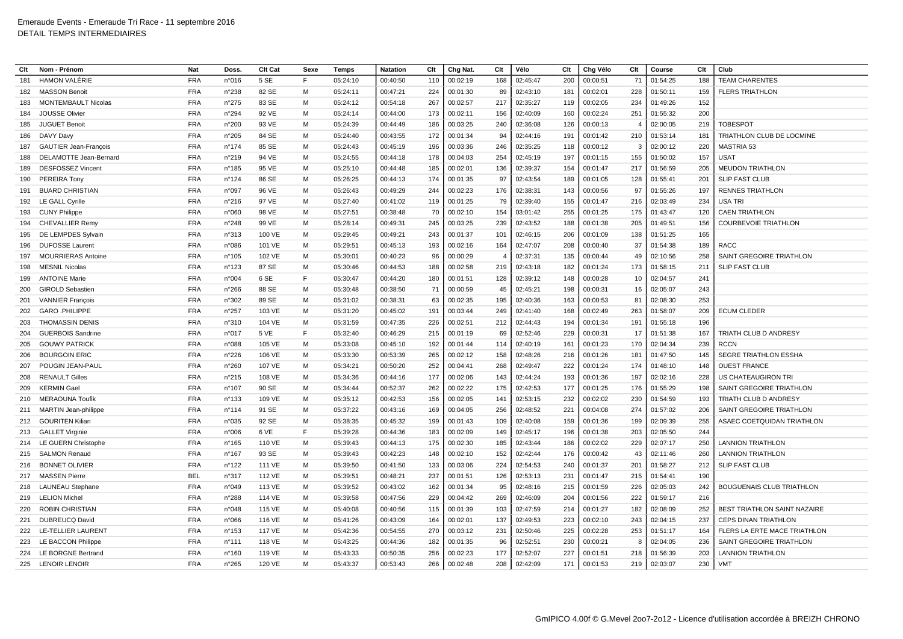| Clt | Nom - Prénom                 | Nat        | <b>Doss</b>     | Clt Cat | Sexe | Temps    | <b>Natation</b> | Clt | Chg Nat. | Clt | Vélo     | Clt | Chg Vélo | Clt                      | Course   | Clt | Club                                |
|-----|------------------------------|------------|-----------------|---------|------|----------|-----------------|-----|----------|-----|----------|-----|----------|--------------------------|----------|-----|-------------------------------------|
| 181 | <b>HAMON VALÉRIE</b>         | <b>FRA</b> | n°016           | 5 SE    | E    | 05:24:10 | 00:40:50        | 110 | 00:02:19 | 168 | 02:45:47 | 200 | 00:00:51 | 71                       | 01:54:25 | 188 | <b>TEAM CHARENTES</b>               |
| 182 | <b>MASSON Benoit</b>         | <b>FRA</b> | n°238           | 82 SE   | м    | 05:24:11 | 00:47:21        | 224 | 00:01:30 | 89  | 02:43:10 | 181 | 00:02:01 | 228                      | 01:50:11 | 159 | <b>FLERS TRIATHLON</b>              |
| 183 | <b>MONTEMBAULT Nicolas</b>   | <b>FRA</b> | n°275           | 83 SE   | м    | 05:24:12 | 00:54:18        | 267 | 00:02:57 | 217 | 02:35:27 | 119 | 00:02:05 | 234                      | 01:49:26 | 152 |                                     |
| 184 | <b>JOUSSE Olivier</b>        | <b>FRA</b> | n°294           | 92 VE   | M    | 05:24:14 | 00:44:00        | 173 | 00:02:11 | 156 | 02:40:09 | 160 | 00:02:24 | 251                      | 01:55:32 | 200 |                                     |
| 185 | <b>JUGUET Benoit</b>         | <b>FRA</b> | n°200           | 93 VE   | м    | 05:24:39 | 00:44:49        | 186 | 00:03:25 | 240 | 02:36:08 | 126 | 00:00:13 | $\overline{\phantom{a}}$ | 02:00:05 | 219 | TOBESPOT                            |
| 186 | DAVY Davy                    | <b>FRA</b> | n°205           | 84 SE   | м    | 05:24:40 | 00:43:55        | 172 | 00:01:34 | 94  | 02:44:16 | 191 | 00:01:42 | 210                      | 01:53:14 | 181 | TRIATHLON CLUB DE LOCMINE           |
| 187 | <b>GAUTIER Jean-François</b> | <b>FRA</b> | $n^{\circ}$ 174 | 85 SE   | м    | 05:24:43 | 00:45:19        | 196 | 00:03:36 | 246 | 02:35:25 | 118 | 00:00:12 | -3                       | 02:00:12 | 220 | <b>MASTRIA 53</b>                   |
| 188 | DELAMOTTE Jean-Bernard       | <b>FRA</b> | n°219           | 94 VE   | м    | 05:24:55 | 00:44:18        | 178 | 00:04:03 | 254 | 02:45:19 | 197 | 00:01:15 | 155                      | 01:50:02 | 157 | <b>USAT</b>                         |
| 189 | <b>DESFOSSEZ Vincent</b>     | <b>FRA</b> | $n^{\circ}$ 185 | 95 VE   | м    | 05:25:10 | 00:44:48        | 185 | 00:02:01 | 136 | 02:39:37 | 154 | 00:01:47 | 217                      | 01:56:59 | 205 | <b>MEUDON TRIATHLON</b>             |
| 190 | PEREIRA Tony                 | <b>FRA</b> | $n^{\circ}$ 124 | 86 SE   | м    | 05:26:25 | 00:44:13        | 174 | 00:01:35 | 97  | 02:43:54 | 189 | 00:01:05 | 128                      | 01:55:41 | 201 | <b>SLIP FAST CLUB</b>               |
| 191 | <b>BUARD CHRISTIAN</b>       | <b>FRA</b> | n°097           | 96 VE   | м    | 05:26:43 | 00:49:29        | 244 | 00:02:23 | 176 | 02:38:31 | 143 | 00:00:56 | 97                       | 01:55:26 | 197 | <b>RENNES TRIATHLON</b>             |
| 192 | <b>LE GALL Cyrille</b>       | <b>FRA</b> | n°216           | 97 VE   | м    | 05:27:40 | 00:41:02        | 119 | 00:01:25 | 79  | 02:39:40 | 155 | 00:01:47 | 216                      | 02:03:49 | 234 | <b>USA TRI</b>                      |
| 193 | <b>CUNY Philippe</b>         | <b>FRA</b> | n°060           | 98 VE   | м    | 05:27:51 | 00:38:48        | 70  | 00:02:10 | 154 | 03:01:42 | 255 | 00:01:25 | 175                      | 01:43:47 | 120 | <b>CAEN TRIATHLON</b>               |
| 194 | CHEVALLIER Remy              | <b>FRA</b> | n°248           | 99 VE   | M    | 05:28:14 | 00:49:31        | 245 | 00:03:25 | 239 | 02:43:52 | 188 | 00:01:38 | 205                      | 01:49:51 | 156 | <b>COURBEVOIE TRIATHLON</b>         |
| 195 | DE LEMPDES Sylvain           | <b>FRA</b> | n°313           | 100 VE  | м    | 05:29:45 | 00:49:21        | 243 | 00:01:37 | 101 | 02:46:15 | 206 | 00:01:09 | 138                      | 01:51:25 | 165 |                                     |
| 196 | <b>DUFOSSE Laurent</b>       | <b>FRA</b> | n°086           | 101 VE  | M    | 05:29:51 | 00:45:13        | 193 | 00:02:16 | 164 | 02:47:07 | 208 | 00:00:40 | 37                       | 01:54:38 | 189 | <b>RACC</b>                         |
| 197 | <b>MOURRIERAS Antoine</b>    | <b>FRA</b> | n°105           | 102 VE  | M    | 05:30:01 | 00:40:23        | 96  | 00:00:29 |     | 02:37:31 | 135 | 00:00:44 | 49                       | 02:10:56 | 258 | SAINT GREGOIRE TRIATHLON            |
| 198 | <b>MESNIL Nicolas</b>        | <b>FRA</b> | n°123           | 87 SE   | M    | 05:30:46 | 00:44:53        | 188 | 00:02:58 | 219 | 02:43:18 | 182 | 00:01:24 | 173                      | 01:58:15 | 211 | <b>SLIP FAST CLUB</b>               |
| 199 | <b>ANTOINE Marie</b>         | <b>FRA</b> | n°004           | 6 SE    | E    | 05:30:47 | 00:44:20        | 180 | 00:01:51 | 128 | 02:39:12 | 148 | 00:00:28 | 10                       | 02:04:57 | 241 |                                     |
| 200 | <b>GIROLD Sebastien</b>      | <b>FRA</b> | $n^{\circ}266$  | 88 SE   | М    | 05:30:48 | 00:38:50        | 71  | 00:00:59 | 45  | 02:45:21 | 198 | 00:00:31 | 16                       | 02:05:07 | 243 |                                     |
| 201 | <b>VANNIER Francois</b>      | <b>FRA</b> | n°302           | 89 SE   | м    | 05:31:02 | 00:38:31        | 63  | 00:02:35 | 195 | 02:40:36 | 163 | 00:00:53 | 81                       | 02:08:30 | 253 |                                     |
| 202 | GARO .PHILIPPE               | <b>FRA</b> | n°257           | 103 VE  | M    | 05:31:20 | 00:45:02        | 191 | 00:03:44 | 249 | 02:41:40 | 168 | 00:02:49 | 263                      | 01:58:07 | 209 | <b>ECUM CLEDER</b>                  |
| 203 | <b>THOMASSIN DENIS</b>       | <b>FRA</b> | n°310           | 104 VE  | M    | 05:31:59 | 00:47:35        | 226 | 00:02:51 | 212 | 02:44:43 | 194 | 00:01:34 | 191                      | 01:55:18 | 196 |                                     |
| 204 | <b>GUERBOIS Sandrine</b>     | <b>FRA</b> | n°017           | 5 VE    | E    | 05:32:40 | 00:46:29        | 215 | 00:01:19 | 69  | 02:52:46 | 229 | 00:00:31 | 17                       | 01:51:38 | 167 | TRIATH CLUB D ANDRESY               |
| 205 | <b>GOUWY PATRICK</b>         | <b>FRA</b> | n°088           | 105 VE  | м    | 05:33:08 | 00:45:10        | 192 | 00:01:44 | 114 | 02:40:19 | 161 | 00:01:23 | 170                      | 02:04:34 | 239 | <b>RCCN</b>                         |
| 206 | <b>BOURGOIN ERIC</b>         | <b>FRA</b> | n°226           | 106 VE  | м    | 05:33:30 | 00:53:39        | 265 | 00:02:12 | 158 | 02:48:26 | 216 | 00:01:26 | 181                      | 01:47:50 | 145 | SEGRE TRIATHLON ESSHA               |
| 207 | POUGIN JEAN-PAUL             | <b>FRA</b> | n°260           | 107 VE  | M    | 05:34:21 | 00:50:20        | 252 | 00:04:41 | 268 | 02:49:47 | 222 | 00:01:24 | 174                      | 01:48:10 | 148 | <b>OUEST FRANCE</b>                 |
| 208 | <b>RENAULT Gilles</b>        | <b>FRA</b> | n°215           | 108 VE  | M    | 05:34:36 | 00:44:16        | 177 | 00:02:06 | 143 | 02:44:24 | 193 | 00:01:36 | 197                      | 02:02:16 | 228 | US CHATEAUGIRON TRI                 |
| 209 | <b>KERMIN Gael</b>           | <b>FRA</b> | n°107           | 90 SE   | M    | 05:34:44 | 00:52:37        | 262 | 00:02:22 | 175 | 02:42:53 | 177 | 00:01:25 | 176                      | 01:55:29 | 198 | SAINT GREGOIRE TRIATHLON            |
| 210 | MERAOUNA Toufik              | <b>FRA</b> | $n^{\circ}$ 133 | 109 VE  | м    | 05:35:12 | 00:42:53        | 156 | 00:02:05 | 141 | 02:53:15 | 232 | 00:02:02 | 230                      | 01:54:59 | 193 | TRIATH CLUB D ANDRESY               |
| 211 | <b>MARTIN Jean-philippe</b>  | <b>FRA</b> | $n^{\circ}$ 114 | 91 SE   | м    | 05:37:22 | 00:43:16        | 169 | 00:04:05 | 256 | 02:48:52 | 221 | 00:04:08 | 274                      | 01:57:02 | 206 | SAINT GREGOIRE TRIATHLON            |
| 212 | <b>GOURITEN Kiliar</b>       | <b>FRA</b> | n°035           | 92 SE   | M    | 05:38:35 | 00:45:32        | 199 | 00:01:43 | 109 | 02:40:08 | 159 | 00:01:36 | 199                      | 02:09:39 | 255 | ASAEC COETQUIDAN TRIATHLON          |
| 213 | <b>GALLET Virginie</b>       | <b>FRA</b> | n°006           | 6 VE    | E    | 05:39:28 | 00:44:36        | 183 | 00:02:09 | 149 | 02:45:17 | 196 | 00:01:38 | 203                      | 02:05:50 | 244 |                                     |
| 214 | LE GUERN Christophe          | <b>FRA</b> | $n^{\circ}165$  | 110 VE  | M    | 05:39:43 | 00:44:13        | 175 | 00:02:30 | 185 | 02:43:44 | 186 | 00:02:02 | 229                      | 02:07:17 | 250 | <b>LANNION TRIATHLON</b>            |
| 215 | <b>SALMON Renaud</b>         | <b>FRA</b> | n°167           | 93 SE   | M    | 05:39:43 | 00:42:23        | 148 | 00:02:10 | 152 | 02:42:44 | 176 | 00:00:42 | 43                       | 02:11:46 | 260 | <b>LANNION TRIATHLON</b>            |
| 216 | <b>BONNET OLIVIER</b>        | <b>FRA</b> | n°122           | 111 VE  | м    | 05:39:50 | 00:41:50        | 133 | 00:03:06 | 224 | 02:54:53 | 240 | 00:01:37 | 201                      | 01:58:27 | 212 | <b>SLIP FAST CLUB</b>               |
| 217 | <b>MASSEN Pierre</b>         | <b>BEL</b> | n°317           | 112 VE  | M    | 05:39:51 | 00:48:21        | 237 | 00:01:51 | 126 | 02:53:13 | 231 | 00:01:47 | 215                      | 01:54:41 | 190 |                                     |
| 218 | <b>LAUNEAU Stephane</b>      | <b>FRA</b> | n°049           | 113 VE  | M    | 05:39:52 | 00:43:02        | 162 | 00:01:34 | 95  | 02:48:16 | 215 | 00:01:59 | 226                      | 02:05:03 | 242 | <b>BOUGUENAIS CLUB TRIATHLON</b>    |
| 219 | <b>LELION Michel</b>         | <b>FRA</b> | n°288           | 114 VE  | м    | 05:39:58 | 00:47:56        | 229 | 00:04:42 | 269 | 02:46:09 | 204 | 00:01:56 | 222                      | 01:59:17 | 216 |                                     |
| 220 | <b>ROBIN CHRISTIAN</b>       | <b>FRA</b> | n°048           | 115 VE  | M    | 05:40:08 | 00:40:56        | 115 | 00:01:39 | 103 | 02:47:59 | 214 | 00:01:27 | 182                      | 02:08:09 | 252 | <b>BEST TRIATHLON SAINT NAZAIRE</b> |
| 221 | <b>DUBREUCQ David</b>        | <b>FRA</b> | n°066           | 116 VE  | м    | 05:41:26 | 00:43:09        | 164 | 00:02:01 | 137 | 02:49:53 | 223 | 00:02:10 | 243                      | 02:04:15 | 237 | <b>CEPS DINAN TRIATHLON</b>         |
| 222 | LE-TELLIER LAURENT           | <b>FRA</b> | n°153           | 117 VE  | м    | 05:42:36 | 00:54:55        | 270 | 00:03:12 | 231 | 02:50:46 | 225 | 00:02:28 | 253                      | 01:51:17 | 164 | FLERS LA ERTE MACE TRIATHLON        |
| 223 | <b>LE BACCON Philippe</b>    | <b>FRA</b> | n°111           | 118 VE  | M    | 05:43:25 | 00:44:36        | 182 | 00:01:35 | 96  | 02:52:51 | 230 | 00:00:21 | 8                        | 02:04:05 | 236 | SAINT GREGOIRE TRIATHLON            |
| 224 | LE BORGNE Bertrand           | <b>FRA</b> | n°160           | 119 VE  | м    | 05:43:33 | 00:50:35        | 256 | 00:02:23 | 177 | 02:52:07 | 227 | 00:01:51 | 218                      | 01:56:39 | 203 | <b>LANNION TRIATHLON</b>            |
|     | 225 LENOIR LENOIR            | <b>FRA</b> | n°265           | 120 VE  | м    | 05:43:37 | 00:53:43        | 266 | 00:02:48 | 208 | 02:42:09 | 171 | 00:01:53 | 219                      | 02:03:07 | 230 | VMT                                 |
|     |                              |            |                 |         |      |          |                 |     |          |     |          |     |          |                          |          |     |                                     |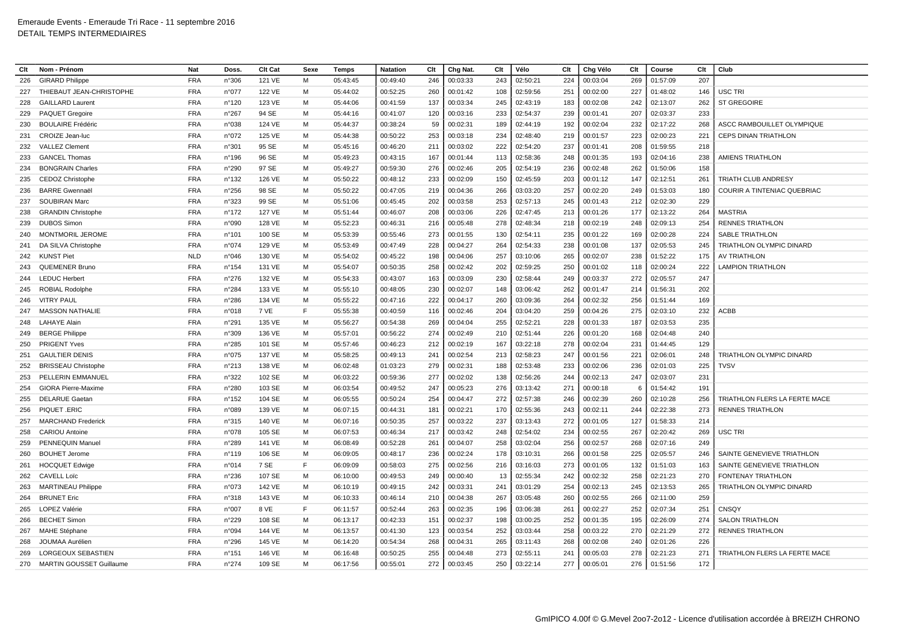| Clt | Nom - Prénom                 | Nat        | Doss.           | <b>Clt Cat</b> | Sexe | <b>Temps</b> | <b>Natation</b> | Clt | Chg Nat. | Clt | Vélo     | Clt | Chg Vélo | Clt | Course   | Clt | Club                              |
|-----|------------------------------|------------|-----------------|----------------|------|--------------|-----------------|-----|----------|-----|----------|-----|----------|-----|----------|-----|-----------------------------------|
| 226 | <b>GIRARD Philippe</b>       | <b>FRA</b> | n°306           | 121 VE         | M    | 05:43:45     | 00:49:40        | 246 | 00:03:33 | 243 | 02:50:21 | 224 | 00:03:04 | 269 | 01:57:09 | 207 |                                   |
| 227 | THIEBAUT JEAN-CHRISTOPHE     | <b>FRA</b> | n°077           | 122 VE         | м    | 05:44:02     | 00:52:25        | 260 | 00:01:42 | 108 | 02:59:56 | 251 | 00:02:00 | 227 | 01:48:02 | 146 | USC TRI                           |
| 228 | <b>GAILLARD Laurent</b>      | <b>FRA</b> | n°120           | 123 VE         | M    | 05:44:06     | 00:41:59        | 137 | 00:03:34 | 245 | 02:43:19 | 183 | 00:02:08 | 242 | 02:13:07 | 262 | <b>ST GREGOIRE</b>                |
| 229 | PAQUET Gregoire              | <b>FRA</b> | $n^{\circ}267$  | 94 SE          | M    | 05:44:16     | 00:41:07        | 120 | 00:03:16 | 233 | 02:54:37 | 239 | 00:01:41 | 207 | 02:03:37 | 233 |                                   |
| 230 | <b>BOULAIRE Frédéric</b>     | <b>FRA</b> | n°038           | 124 VE         | M    | 05:44:37     | 00:38:24        | 59  | 00:02:31 | 189 | 02:44:19 | 192 | 00:02:04 | 232 | 02:17:22 | 268 | <b>ASCC RAMBOUILLET OLYMPIQUE</b> |
| 231 | <b>CROIZE</b> Jean-luc       | <b>FRA</b> | n°072           | 125 VE         | M    | 05:44:38     | 00:50:22        | 253 | 00:03:18 | 234 | 02:48:40 | 219 | 00:01:57 | 223 | 02:00:23 | 221 | <b>CEPS DINAN TRIATHLON</b>       |
| 232 | <b>VALLEZ Clement</b>        | <b>FRA</b> | n°301           | 95 SE          | м    | 05:45:16     | 00:46:20        | 211 | 00:03:02 | 222 | 02:54:20 | 237 | 00:01:41 | 208 | 01:59:55 | 218 |                                   |
| 233 | <b>GANCEL Thomas</b>         | <b>FRA</b> | n°196           | 96 SE          | M    | 05:49:23     | 00:43:15        | 167 | 00:01:44 | 113 | 02:58:36 | 248 | 00:01:35 | 193 | 02:04:16 | 238 | <b>AMIENS TRIATHLON</b>           |
| 234 | <b>BONGRAIN Charles</b>      | <b>FRA</b> | n°290           | 97 SE          | M    | 05:49:27     | 00:59:30        | 276 | 00:02:46 | 205 | 02:54:19 | 236 | 00:02:48 | 262 | 01:50:06 | 158 |                                   |
| 235 | <b>CEDOZ Christophe</b>      | <b>FRA</b> | n°132           | 126 VE         | M    | 05:50:22     | 00:48:12        | 233 | 00:02:09 | 150 | 02:45:59 | 203 | 00:01:12 | 147 | 02:12:51 | 261 | TRIATH CLUB ANDRESY               |
| 236 | <b>BARRE Gwennaël</b>        | <b>FRA</b> | n°256           | 98 SE          | M    | 05:50:22     | 00:47:05        | 219 | 00:04:36 | 266 | 03:03:20 | 257 | 00:02:20 | 249 | 01:53:03 | 180 | COURIR A TINTENIAC QUEBRIAC       |
| 237 | <b>SOUBIRAN Marc</b>         | <b>FRA</b> | n°323           | 99 SE          | м    | 05:51:06     | 00:45:45        | 202 | 00:03:58 | 253 | 02:57:13 | 245 | 00:01:43 | 212 | 02:02:30 | 229 |                                   |
| 238 | <b>GRANDIN Christophe</b>    | <b>FRA</b> | n°172           | 127 VE         | M    | 05:51:44     | 00:46:07        | 208 | 00:03:06 | 226 | 02:47:45 | 213 | 00:01:26 | 177 | 02:13:22 | 264 | <b>MASTRIA</b>                    |
| 239 | <b>DUBOS Simon</b>           | <b>FRA</b> | n°090           | 128 VE         | M    | 05:52:23     | 00:46:31        | 216 | 00:05:48 | 278 | 02:48:34 | 218 | 00:02:19 | 248 | 02:09:13 | 254 | <b>RENNES TRIATHLON</b>           |
| 240 | <b>MONTMORIL JEROME</b>      | <b>FRA</b> | $n^{\circ}101$  | 100 SE         | м    | 05:53:39     | 00:55:46        | 273 | 00:01:55 | 130 | 02:54:11 | 235 | 00:01:22 | 169 | 02:00:28 | 224 | SABLE TRIATHLON                   |
| 241 | DA SILVA Christophe          | <b>FRA</b> | n°074           | 129 VE         | M    | 05:53:49     | 00:47:49        | 228 | 00:04:27 | 264 | 02:54:33 | 238 | 00:01:08 | 137 | 02:05:53 | 245 | TRIATHLON OLYMPIC DINARD          |
| 242 | <b>KUNST Piet</b>            | <b>NLD</b> | n°046           | 130 VE         | м    | 05:54:02     | 00:45:22        | 198 | 00:04:06 | 257 | 03:10:06 | 265 | 00:02:07 | 238 | 01:52:22 | 175 | <b>AV TRIATHLON</b>               |
| 243 | QUEMENER Bruno               | <b>FRA</b> | $n^{\circ}154$  | 131 VE         | M    | 05:54:07     | 00:50:35        | 258 | 00:02:42 | 202 | 02:59:25 | 250 | 00:01:02 | 118 | 02:00:24 | 222 | <b>LAMPION TRIATHLON</b>          |
| 244 | <b>LEDUC Herbert</b>         | <b>FRA</b> | n°276           | 132 VE         | M    | 05:54:33     | 00:43:07        | 163 | 00:03:09 | 230 | 02:58:44 | 249 | 00:03:37 | 272 | 02:05:57 | 247 |                                   |
| 245 | <b>ROBIAL Rodolphe</b>       | <b>FRA</b> | n°284           | 133 VE         | м    | 05:55:10     | 00:48:05        | 230 | 00:02:07 | 148 | 03:06:42 | 262 | 00:01:47 | 214 | 01:56:31 | 202 |                                   |
| 246 | <b>VITRY PAUL</b>            | <b>FRA</b> | n°286           | 134 VE         | M    | 05:55:22     | 00:47:16        | 222 | 00:04:17 | 260 | 03:09:36 | 264 | 00:02:32 | 256 | 01:51:44 | 169 |                                   |
| 247 | <b>MASSON NATHALIE</b>       | <b>FRA</b> | n°018           | 7 VE           | F    | 05:55:38     | 00:40:59        | 116 | 00:02:46 | 204 | 03:04:20 | 259 | 00:04:26 | 275 | 02:03:10 | 232 | ACBB                              |
| 248 | <b>LAHAYE Alain</b>          | <b>FRA</b> | n°291           | 135 VE         | M    | 05:56:27     | 00:54:38        | 269 | 00:04:04 | 255 | 02:52:21 | 228 | 00:01:33 | 187 | 02:03:53 | 235 |                                   |
| 249 | <b>BERGE Philippe</b>        | <b>FRA</b> | n°309           | 136 VE         | M    | 05:57:01     | 00:56:22        | 274 | 00:02:49 | 210 | 02:51:44 | 226 | 00:01:20 | 168 | 02:04:48 | 240 |                                   |
| 250 | <b>PRIGENT Yves</b>          | <b>FRA</b> | n°285           | 101 SE         | м    | 05:57:46     | 00:46:23        | 212 | 00:02:19 | 167 | 03:22:18 | 278 | 00:02:04 | 231 | 01:44:45 | 129 |                                   |
| 251 | <b>GAULTIER DENIS</b>        | <b>FRA</b> | n°075           | 137 VE         | M    | 05:58:25     | 00:49:13        | 241 | 00:02:54 | 213 | 02:58:23 | 247 | 00:01:56 | 221 | 02:06:01 | 248 | TRIATHLON OLYMPIC DINARD          |
| 252 | <b>BRISSEAU Christophe</b>   | <b>FRA</b> | n°213           | 138 VE         | M    | 06:02:48     | 01:03:23        | 279 | 00:02:31 | 188 | 02:53:48 | 233 | 00:02:06 | 236 | 02:01:03 | 225 | <b>TVSV</b>                       |
| 253 | PELLERIN EMMANUEL            | <b>FRA</b> | n°322           | 102 SE         | M    | 06:03:22     | 00:59:36        | 277 | 00:02:02 | 138 | 02:56:26 | 244 | 00:02:13 | 247 | 02:03:07 | 231 |                                   |
| 254 | <b>GIORA Pierre-Maxime</b>   | <b>FRA</b> | n°280           | 103 SE         | M    | 06:03:54     | 00:49:52        | 247 | 00:05:23 | 276 | 03:13:42 | 271 | 00:00:18 | - 6 | 01:54:42 | 191 |                                   |
| 255 | <b>DELARUE Gaetan</b>        | <b>FRA</b> | $n^{\circ}$ 152 | 104 SE         | м    | 06:05:55     | 00:50:24        | 254 | 00:04:47 | 272 | 02:57:38 | 246 | 00:02:39 | 260 | 02:10:28 | 256 | TRIATHLON FLERS LA FERTE MACE     |
| 256 | PIQUET .ERIC                 | <b>FRA</b> | n°089           | 139 VE         | M    | 06:07:15     | 00:44:31        | 181 | 00:02:21 | 170 | 02:55:36 | 243 | 00:02:11 | 244 | 02:22:38 | 273 | <b>RENNES TRIATHLON</b>           |
| 257 | <b>MARCHAND Frederick</b>    | <b>FRA</b> | n°315           | 140 VE         | M    | 06:07:16     | 00:50:35        | 257 | 00:03:22 | 237 | 03:13:43 | 272 | 00:01:05 | 127 | 01:58:33 | 214 |                                   |
| 258 | <b>CARIOU Antoine</b>        | <b>FRA</b> | n°078           | 105 SE         | M    | 06:07:53     | 00:46:34        | 217 | 00:03:42 | 248 | 02:54:02 | 234 | 00:02:55 | 267 | 02:20:42 | 269 | USC TRI                           |
| 259 | <b>PENNEQUIN Manue</b>       | <b>FRA</b> | n°289           | 141 VE         | M    | 06:08:49     | 00:52:28        | 261 | 00:04:07 | 258 | 03:02:04 | 256 | 00:02:57 | 268 | 02:07:16 | 249 |                                   |
| 260 | <b>BOUHET Jerome</b>         | <b>FRA</b> | $n^{\circ}$ 119 | 106 SE         | м    | 06:09:05     | 00:48:17        | 236 | 00:02:24 | 178 | 03:10:31 | 266 | 00:01:58 | 225 | 02:05:57 | 246 | SAINTE GENEVIEVE TRIATHLON        |
| 261 | <b>HOCQUET Edwige</b>        | <b>FRA</b> | n°014           | 7 SE           | F    | 06:09:09     | 00:58:03        | 275 | 00:02:56 | 216 | 03:16:03 | 273 | 00:01:05 | 132 | 01:51:03 | 163 | SAINTE GENEVIEVE TRIATHLON        |
| 262 | <b>CAVELL Loïc</b>           | <b>FRA</b> | n°236           | 107 SE         | M    | 06:10:00     | 00:49:53        | 249 | 00:00:40 | 13  | 02:55:34 | 242 | 00:02:32 | 258 | 02:21:23 | 270 | FONTENAY TRIATHLON                |
| 263 | <b>MARTINEAU Philippe</b>    | <b>FRA</b> | n°073           | 142 VE         | M    | 06:10:19     | 00:49:15        | 242 | 00:03:31 | 241 | 03:01:29 | 254 | 00:02:13 | 245 | 02:13:53 | 265 | TRIATHLON OLYMPIC DINARD          |
| 264 | <b>BRUNET Eric</b>           | <b>FRA</b> | n°318           | 143 VE         | M    | 06:10:33     | 00:46:14        | 210 | 00:04:38 | 267 | 03:05:48 | 260 | 00:02:55 | 266 | 02:11:00 | 259 |                                   |
| 265 | <b>LOPEZ Valérie</b>         | <b>FRA</b> | n°007           | 8 VE           | F.   | 06:11:57     | 00:52:44        | 263 | 00:02:35 | 196 | 03:06:38 | 261 | 00:02:27 | 252 | 02:07:34 | 251 | <b>CNSQY</b>                      |
| 266 | <b>BECHET Simon</b>          | <b>FRA</b> | n°229           | 108 SE         | M    | 06:13:17     | 00:42:33        | 151 | 00:02:37 | 198 | 03:00:25 | 252 | 00:01:35 | 195 | 02:26:09 | 274 | <b>SALON TRIATHLON</b>            |
| 267 | <b>MAHE Stéphane</b>         | <b>FRA</b> | n°094           | 144 VE         | M    | 06:13:57     | 00:41:30        | 123 | 00:03:54 | 252 | 03:03:44 | 258 | 00:03:22 | 270 | 02:21:29 | 272 | <b>RENNES TRIATHLON</b>           |
| 268 | JOUMAA Aurélien              | <b>FRA</b> | n°296           | 145 VE         | M    | 06:14:20     | 00:54:34        | 268 | 00:04:31 | 265 | 03:11:43 | 268 | 00:02:08 | 240 | 02:01:26 | 226 |                                   |
| 269 | LORGEOUX SEBASTIEN           | <b>FRA</b> | n°151           | 146 VE         | M    | 06:16:48     | 00:50:25        | 255 | 00:04:48 | 273 | 02:55:11 | 241 | 00:05:03 | 278 | 02:21:23 | 271 | TRIATHLON FLERS LA FERTE MACE     |
|     | 270 MARTIN GOUSSET Guillaume | <b>FRA</b> | n°274           | 109 SE         | м    | 06:17:56     | 00:55:01        | 272 | 00:03:45 | 250 | 03:22:14 | 277 | 00:05:01 | 276 | 01:51:56 | 172 |                                   |
|     |                              |            |                 |                |      |              |                 |     |          |     |          |     |          |     |          |     |                                   |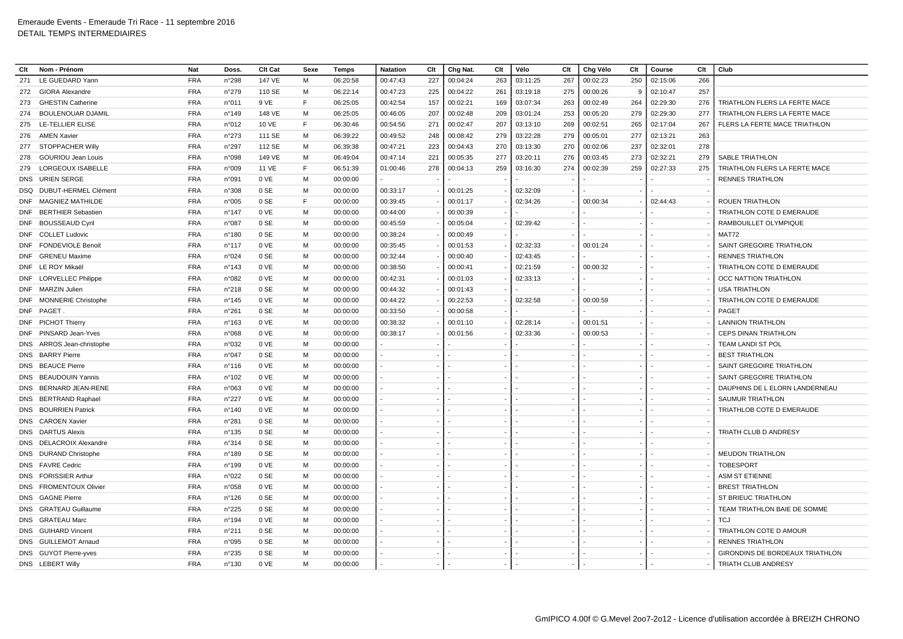| Clt | Nom - Prénom                | <b>Nat</b> | Doss.           | <b>Clt Cat</b> | Sexe | Temps    | <b>Natation</b> | Clt | Chg Nat. | Clt | Vélo     | Clt | Chg Vélo | Clt | Course   | Clt | Club                            |
|-----|-----------------------------|------------|-----------------|----------------|------|----------|-----------------|-----|----------|-----|----------|-----|----------|-----|----------|-----|---------------------------------|
| 271 | LE GUEDARD Yann             | <b>FRA</b> | n°298           | 147 VE         | M    | 06:20:58 | 00:47:43        | 227 | 00:04:24 | 263 | 03:11:25 | 267 | 00:02:23 | 250 | 02:15:06 | 266 |                                 |
| 272 | <b>GIORA Alexandre</b>      | <b>FRA</b> | n°279           | 110 SE         | м    | 06:22:14 | 00:47:23        | 225 | 00:04:22 | 261 | 03:19:18 | 275 | 00:00:26 | - 9 | 02:10:47 | 257 |                                 |
| 273 | <b>GHESTIN Catherine</b>    | <b>FRA</b> | n°011           | 9 VE           | F    | 06:25:05 | 00:42:54        | 157 | 00:02:21 | 169 | 03:07:34 | 263 | 00:02:49 | 264 | 02:29:30 | 276 | TRIATHLON FLERS LA FERTE MACE   |
| 274 | <b>BOULENOUAR DJAMIL</b>    | <b>FRA</b> | $n^{\circ}$ 149 | 148 VE         | M    | 06:25:05 | 00:46:05        | 207 | 00:02:48 | 209 | 03:01:24 | 253 | 00:05:20 | 279 | 02:29:30 | 277 | TRIATHLON FLERS LA FERTE MACE   |
| 275 | LE-TELLIER ELISE            | <b>FRA</b> | n°012           | 10 VE          | F    | 06:30:46 | 00:54:56        | 271 | 00:02:47 | 207 | 03:13:10 | 269 | 00:02:51 | 265 | 02:17:04 | 267 | FLERS LA FERTE MACE TRIATHLON   |
| 276 | <b>AMEN Xavier</b>          | <b>FRA</b> | n°273           | 111 SE         | M    | 06:39:22 | 00:49:52        | 248 | 00:08:42 | 279 | 03:22:28 | 279 | 00:05:01 | 277 | 02:13:21 | 263 |                                 |
| 277 | <b>STOPPACHER Willy</b>     | <b>FRA</b> | n°297           | 112 SE         | M    | 06:39:38 | 00:47:21        | 223 | 00:04:43 | 270 | 03:13:30 | 270 | 00:02:06 | 237 | 02:32:01 | 278 |                                 |
| 278 | <b>GOURIOU Jean Louis</b>   | <b>FRA</b> | n°098           | 149 VE         | М    | 06:49:04 | 00:47:14        | 221 | 00:05:35 | 277 | 03:20:11 | 276 | 00:03:45 | 273 | 02:32:21 | 279 | SABLE TRIATHLON                 |
| 279 | <b>LORGEOUX ISABELLE</b>    | <b>FRA</b> | n°009           | 11 VE          | F    | 06:51:39 | 01:00:46        | 278 | 00:04:13 | 259 | 03:16:30 | 274 | 00:02:39 | 259 | 02:27:33 | 275 | TRIATHLON FLERS LA FERTE MACE   |
|     | DNS URIEN SERGE             | <b>FRA</b> | n°091           | 0 VE           | M    | 00:00:00 |                 |     |          |     |          |     |          |     |          |     | <b>RENNES TRIATHLON</b>         |
|     | DSQ DUBUT-HERMEL Clément    | FRA        | n°308           | 0 SE           | M    | 00:00:00 | 00:33:17        |     | 00:01:25 |     | 02:32:09 |     |          |     |          |     |                                 |
|     | DNF MAGNIEZ MATHILDE        | <b>FRA</b> | n°005           | 0 SE           | F    | 00:00:00 | 00:39:45        |     | 00:01:17 |     | 02:34:26 |     | 00:00:34 |     | 02:44:43 |     | <b>ROUEN TRIATHLON</b>          |
| DNF | <b>BERTHIER Sebastien</b>   | <b>FRA</b> | $n^{\circ}$ 147 | 0 VE           | M    | 00:00:00 | 00:44:00        |     | 00:00:39 |     |          |     |          |     |          |     | TRIATHLON COTE D EMERAUDE       |
|     | DNF BOUSSEAUD Cyril         | <b>FRA</b> | n°087           | 0 SE           | M    | 00:00:00 | 00:45:59        |     | 00:05:04 |     | 02:39:42 |     |          |     |          |     | RAMBOUILLET OLYMPIQUE           |
|     | DNF COLLET Ludovic          | FRA        | n°180           | 0 SE           | M    | 00:00:00 | 00:38:24        |     | 00:00:49 |     |          |     |          |     |          |     | MAT72                           |
|     | DNF FONDEVIOLE Benoit       | <b>FRA</b> | $n^{\circ}$ 117 | 0 VE           | M    | 00:00:00 | 00:35:45        |     | 00:01:53 |     | 02:32:33 |     | 00:01:24 |     |          |     | SAINT GREGOIRE TRIATHLON        |
|     | DNF GRENEU Maxime           | <b>FRA</b> | n°024           | 0 SE           | M    | 00:00:00 | 00:32:44        |     | 00:00:40 |     | 02:43:45 |     |          |     |          |     | <b>RENNES TRIATHLON</b>         |
|     | DNF LE ROY Mikaël           | <b>FRA</b> | $n^{\circ}$ 143 | 0 VE           | M    | 00:00:00 | 00:38:50        |     | 00:00:41 |     | 02:21:59 |     | 00:00:32 |     |          |     | TRIATHLON COTE D EMERAUDE       |
|     | DNF LORVELLEC Philippe      | <b>FRA</b> | n°082           | 0 VE           | м    | 00:00:00 | 00:42:31        |     | 00:01:03 |     | 02:33:13 |     |          |     |          |     | OCC NATTION TRIATHLON           |
|     | DNF MARZIN Julien           | <b>FRA</b> | n°218           | 0 SE           | M    | 00:00:00 | 00:44:32        |     | 00:01:43 |     |          |     |          |     |          |     | <b>USA TRIATHLON</b>            |
|     | DNF MONNERIE Christophe     | <b>FRA</b> | $n^{\circ}$ 145 | 0 VE           | M    | 00:00:00 | 00:44:22        |     | 00:22:53 |     | 02:32:58 |     | 00:00:59 |     |          |     | TRIATHLON COTE D EMERAUDE       |
|     | DNF PAGET                   | <b>FRA</b> | n°261           | 0 SE           | M    | 00:00:00 | 00:33:50        |     | 00:00:58 |     |          |     |          |     |          |     | PAGET                           |
|     | DNF PICHOT Thierry          | <b>FRA</b> | n°163           | 0 VE           | M    | 00:00:00 | 00:38:32        |     | 00:01:10 |     | 02:28:14 |     | 00:01:51 |     |          |     | <b>LANNION TRIATHLON</b>        |
|     | DNF PINSARD Jean-Yves       | <b>FRA</b> | n°068           | 0 VE           | М    | 00:00:00 | 00:38:17        |     | 00:01:56 |     | 02:33:36 |     | 00:00:53 |     |          |     | <b>CEPS DINAN TRIATHLON</b>     |
|     | DNS ARROS Jean-christophe   | <b>FRA</b> | n°032           | 0 VE           | M    | 00:00:00 |                 |     |          |     |          |     |          |     |          |     | TEAM LANDI ST POL               |
| DNS | <b>BARRY Pierre</b>         | <b>FRA</b> | n°047           | 0 SE           | M    | 00:00:00 |                 |     |          |     |          |     |          |     |          |     | <b>BEST TRIATHLON</b>           |
| DNS | <b>BEAUCE Pierre</b>        | <b>FRA</b> | $n^{\circ}$ 116 | 0 VE           | M    | 00:00:00 |                 |     |          |     |          |     |          |     |          |     | SAINT GREGOIRE TRIATHLON        |
|     | DNS BEAUDOUIN Yannis        | <b>FRA</b> | n°102           | 0 VE           | M    | 00:00:00 |                 |     |          |     |          |     |          |     |          |     | SAINT GREGOIRE TRIATHLON        |
| DNS | BERNARD JEAN-RENE           | FRA        | n°063           | 0 VE           | M    | 00:00:00 |                 |     |          |     |          |     |          |     |          |     | DAUPHINS DE L ELORN LANDERNEAU  |
|     | DNS BERTRAND Raphael        | <b>FRA</b> | $n^{\circ}227$  | 0 VE           | M    | 00:00:00 |                 |     |          |     |          |     |          |     |          |     | <b>SAUMUR TRIATHLON</b>         |
|     | DNS BOURRIEN Patrick        | <b>FRA</b> | n°140           | 0 VE           | M    | 00:00:00 |                 |     |          |     |          |     |          |     |          |     | TRIATHLOB COTE D EMERAUDE       |
| DNS | <b>CAROEN Xavier</b>        | <b>FRA</b> | n°281           | 0 SE           | M    | 00:00:00 |                 |     |          |     |          |     |          |     |          |     |                                 |
|     | DNS DARTUS Alexis           | <b>FRA</b> | n°135           | 0 SE           | M    | 00:00:00 |                 |     |          |     |          |     |          |     |          |     | TRIATH CLUB D ANDRESY           |
| DNS | <b>DELACROIX Alexandre</b>  | FRA        | n°314           | 0 SE           | M    | 00:00:00 |                 |     |          |     |          |     |          |     |          |     |                                 |
|     | DNS DURAND Christophe       | <b>FRA</b> | n°189           | 0 SE           | M    | 00:00:00 |                 |     |          |     |          |     |          |     |          |     | <b>MEUDON TRIATHLON</b>         |
|     | DNS FAVRE Cedric            | <b>FRA</b> | n°199           | 0 VE           | M    | 00:00:00 |                 |     |          |     |          |     |          |     |          |     | <b>TOBESPORT</b>                |
|     | <b>DNS</b> FORISSIER Arthur | <b>FRA</b> | n°022           | 0 SE           | M    | 00:00:00 |                 |     |          |     |          |     |          |     |          |     | <b>ASM ST ETIENNE</b>           |
|     | DNS FROMENTOUX Olivier      | FRA        | n°058           | 0 VE           | M    | 00:00:00 |                 |     |          |     |          |     |          |     |          |     | <b>BREST TRIATHLON</b>          |
|     | <b>DNS</b> GAGNE Pierre     | <b>FRA</b> | n°126           | 0 SE           | M    | 00:00:00 |                 |     |          |     |          |     |          |     |          |     | ST BRIEUC TRIATHLON             |
|     | DNS GRATEAU Guillaume       | <b>FRA</b> | n°225           | 0 SE           | M    | 00:00:00 |                 |     |          |     |          |     |          |     |          |     | TEAM TRIATHLON BAIE DE SOMME    |
|     | DNS GRATEAU Marc            | <b>FRA</b> | $n^{\circ}$ 194 | 0 VE           | M    | 00:00:00 |                 |     |          |     |          |     |          |     |          |     | TCJ                             |
|     | DNS GUIHARD Vincent         | <b>FRA</b> | n°211           | 0 SE           | м    | 00:00:00 |                 |     |          |     |          |     |          |     |          |     | TRIATHLON COTE D AMOUR          |
|     | DNS GUILLEMOT Arnaud        | <b>FRA</b> | n°095           | 0 SE           | м    | 00:00:00 |                 |     |          |     |          |     |          |     |          |     | <b>RENNES TRIATHLON</b>         |
|     | DNS GUYOT Pierre-yves       | <b>FRA</b> | n°235           | 0 SE           | M    | 00:00:00 |                 |     |          |     |          |     |          |     |          |     | GIRONDINS DE BORDEAUX TRIATHLON |
|     | DNS LEBERT Willy            | <b>FRA</b> | n°130           | 0 VE           | M    | 00:00:00 |                 |     |          |     |          |     |          |     |          |     | TRIATH CLUB ANDRESY             |